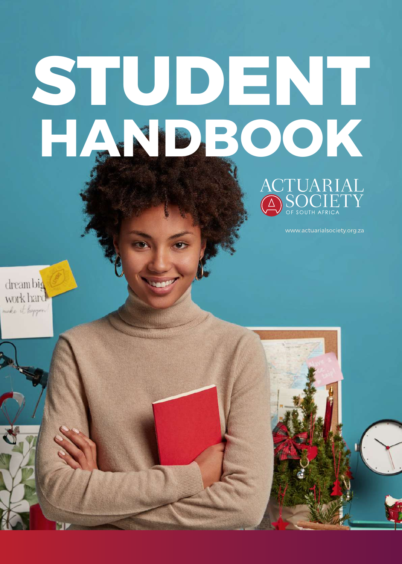# **STUDENT HANDBOOK**



www.actuarialsociety.org.za

dreambig work hard make it Program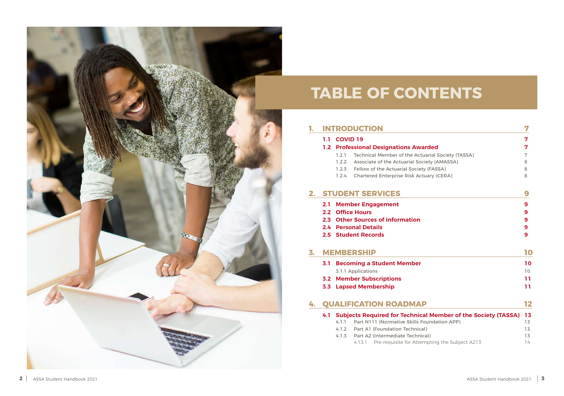#### **1. [INTRODUCTION](#page-3-0)**

#### **1.1 COVID 19**

#### **1.2 Professional Designations Award**

- 1.2.1 Technical Member of the Actua
- 1.2.2 Associate of the Actuarial Society
- 1.2.3 Fellow of the Actuarial Society
- 1.2.4 Chartered Enterprise Risk Actu

**7**

|                                        | Л      |
|----------------------------------------|--------|
|                                        | 7      |
| ded                                    | 7      |
| arial Society (TASSA)                  | 7      |
| ety (AMASSA)                           | 8      |
| (FASSA)                                | 8      |
| ary (CERA)                             | 8      |
|                                        | 9      |
|                                        |        |
|                                        | 9      |
|                                        | 9      |
|                                        | 9      |
|                                        | 9<br>9 |
|                                        |        |
|                                        | 10     |
|                                        | 10     |
|                                        | 10     |
|                                        | 11     |
|                                        | 11     |
|                                        |        |
|                                        | 12     |
| <b>I Member of the Society (TASSA)</b> | 13     |
| undation APP)                          | 13     |
|                                        | 13     |
| (Ie                                    | 13     |
| pting the Subject A213                 | 74     |

#### **2. [STUDENT SERVICES](#page-4-0)**

- **2.1 [Member Engagement](#page-4-0)**
- **2.2 [Office Hours](#page-4-0)**
- **2.3 [Other Sources of Information](#page-4-0)**
- **2.4 [Personal Details](#page-4-0)**
- **2.5 [Student Records](#page-4-0)**

#### **3. [MEMBERSHIP 10](#page-5-0)**

- **3.1 [Becoming a Student Member](#page-5-0)** 3.1.1 Applications
- **3.2 [Member Subscriptions](#page-5-0)**
- **3.3 [Lapsed Membership](#page-5-0)**

#### **4. [QUALIFICATION ROADMAP](#page-6-0) 12**

#### **4.1 Subjects Required for Technical**

- 4.1.1 Part N111 (Normative Skills Foundation
- 4.1.2 Part A1 (Foundation Technical
- 4.1.3 Part A2 (Intermediate Technical
	- 4.13.1 Pre-requisite for Attem



## **TABLE OF CONTENTS**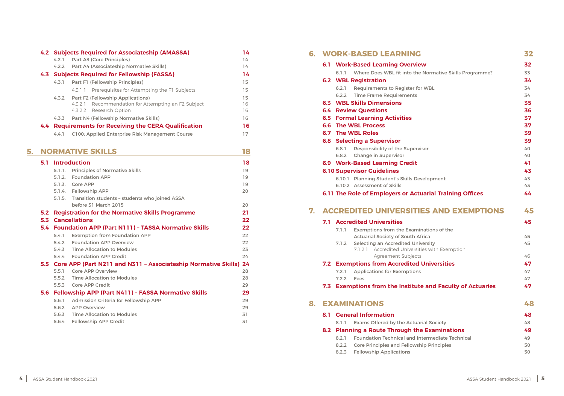|                              | 32       |
|------------------------------|----------|
|                              | 32       |
| ormative Skills Programme?   | 33       |
|                              | 34       |
| VBL                          | 34       |
|                              | 34       |
|                              | 35       |
|                              | 36       |
|                              | 37       |
|                              | 37       |
|                              | 39       |
|                              | 39       |
| r                            | 40       |
|                              | 40       |
|                              | 41<br>43 |
|                              |          |
| opment                       | 43<br>43 |
| <b>rial Training Offices</b> | 44       |
|                              |          |
|                              |          |
| <b>S AND EXEMPTIONS</b>      | 45       |
|                              | 45       |
| tions of the                 |          |
| ca:                          | 45       |
| sity                         | 45       |
| with Exemption               |          |
|                              | 46       |
| niversities                  | 47       |
|                              | 47<br>47 |
| and Faculty of Actuaries     | 47       |
|                              |          |
|                              | 48       |
|                              | 48       |
| Society                      | 48       |
| <b>Examinations</b>          | 49       |
| rmediate Technical           | 49       |
| Principles                   | 50<br>50 |

|    | 6.1 |       | <b>Work-Based Learning Overview</b>                           | 32 |
|----|-----|-------|---------------------------------------------------------------|----|
|    |     | 6.1.1 | Where Does WBL fit into the Normative Skills Programme?       | 33 |
|    |     |       | <b>6.2 WBL Registration</b>                                   | 34 |
|    |     | 6.2.1 | <b>Requirements to Register for WBL</b>                       | 34 |
|    |     | 6.2.2 | <b>Time Frame Requirements</b>                                | 34 |
|    |     |       | <b>6.3 WBL Skills Dimensions</b>                              | 35 |
|    |     |       | <b>6.4 Review Questions</b>                                   | 36 |
|    |     |       | <b>6.5 Formal Learning Activities</b>                         | 37 |
|    |     |       | <b>6.6 The WBL Process</b>                                    | 37 |
|    |     |       | <b>6.7 The WBL Roles</b>                                      | 39 |
|    |     |       | <b>6.8 Selecting a Supervisor</b>                             | 39 |
|    |     | 6.8.1 | <b>Responsibility of the Supervisor</b>                       | 40 |
|    |     | 6.8.2 | <b>Change in Supervisor</b>                                   | 40 |
|    |     |       | <b>6.9 Work-Based Learning Credit</b>                         | 41 |
|    |     |       | <b>6.10 Supervisor Guidelines</b>                             | 43 |
|    |     |       | 6.10.1 Planning Student's Skills Development                  | 43 |
|    |     |       | 6.10.2 Assessment of Skills                                   | 43 |
|    |     |       | 6.11 The Role of Employers or Actuarial Training Offices      | 44 |
| 7. |     |       | <b>ACCREDITED UNIVERSITIES AND EXEMPTIONS</b>                 | 45 |
|    | 7.1 |       | <b>Accredited Universities</b>                                | 45 |
|    |     | 7.1.1 | Exemptions from the Examinations of the                       |    |
|    |     |       | <b>Actuarial Society of South Africa</b>                      | 45 |
|    |     | 7.1.2 | <b>Selecting an Accredited University</b>                     | 45 |
|    |     |       | 7.1.2.1 Accredited Universities with Exemption                |    |
|    |     |       | Agreement Subjects                                            | 46 |
|    |     |       | <b>7.2 Exemptions from Accredited Universities</b>            | 47 |
|    |     | 7.2.1 | <b>Applications for Exemptions</b>                            | 47 |
|    |     | 7.2.2 | Fees                                                          | 47 |
|    | 7.3 |       | <b>Exemptions from the Institute and Faculty of Actuaries</b> | 47 |

#### **8. EXAMINATIONS**

#### **6. [WORK-BASED LEARNING](#page-16-0) 32**

#### **8.1 [General Information](#page-24-0) 48**

8.1.1 Exams Offered by the Actuarial

#### **8.2 Planning a Route Through the E**

- 8.2.1 Foundation Technical and Inter
- 8.2.2 Core Principles and Fellowship
- 8.2.3 [Fellowship Applications](#page-25-0)

|    |     |        | 4.2 Subjects Required for Associateship (AMASSA)                                                  | 14 |
|----|-----|--------|---------------------------------------------------------------------------------------------------|----|
|    |     | 4.2.1  | Part A3 (Core Principles)                                                                         | 14 |
|    |     | 4.2.2  | Part A4 (Associateship Normative Skills)                                                          | 14 |
|    |     |        | 4.3 Subjects Required for Fellowship (FASSA)                                                      | 14 |
|    |     | 4.3.1  | Part F1 (Fellowship Principles)                                                                   | 15 |
|    |     |        | 4.3.1.1 Prerequisites for Attempting the F1 Subjects                                              | 15 |
|    |     | 4.3.2  | Part F2 (Fellowship Applications)                                                                 | 15 |
|    |     |        | Recommendation for Attempting an F2 Subject<br>4.3.2.1                                            | 16 |
|    |     |        | 4.3.2.2 Research Option                                                                           | 16 |
|    |     | 4.3.3  | Part N4 (Fellowship Normative Skills)                                                             | 16 |
|    |     |        | 4.4 Requirements for Receiving the CERA Qualification                                             | 16 |
|    |     | 4.4.1  | C100: Applied Enterprise Risk Management Course                                                   | 17 |
| 5. |     |        | <b>NORMATIVE SKILLS</b>                                                                           | 18 |
|    |     |        |                                                                                                   |    |
|    | 5.1 |        | <b>Introduction</b>                                                                               | 18 |
|    |     | 5.1.1. | <b>Principles of Normative Skills</b>                                                             | 19 |
|    |     | 5.1.2. | <b>Foundation APP</b>                                                                             | 19 |
|    |     | 5.1.3. | Core APP                                                                                          | 19 |
|    |     |        | 5.1.4. Fellowship APP                                                                             | 20 |
|    |     | 5.1.5. | Transition students - students who joined ASSA                                                    |    |
|    |     |        | before 31 March 2015                                                                              | 20 |
|    | 5.2 |        | <b>Registration for the Normative Skills Programme</b>                                            | 21 |
|    |     |        | <b>5.3 Cancellations</b>                                                                          | 22 |
|    |     |        | 5.4 Foundation APP (Part N111) - TASSA Normative Skills                                           | 22 |
|    |     | 5.4.1  | <b>Exemption from Foundation APP</b>                                                              | 22 |
|    |     | 5.4.2  | <b>Foundation APP Overview</b>                                                                    | 22 |
|    |     | 5.4.3  | <b>Time Allocation to Modules</b>                                                                 | 23 |
|    |     |        | 5.4.4 Foundation APP Credit                                                                       | 24 |
|    |     | 5.5.1  | 5.5 Core APP (Part N211 and N311 - Associateship Normative Skills) 24<br><b>Core APP Overview</b> | 28 |
|    |     | 5.5.2  | <b>Time Allocation to Modules</b>                                                                 | 28 |
|    |     | 5.5.3  | <b>Core APP Credit</b>                                                                            | 29 |
|    |     |        | 5.6 Fellowship APP (Part N411) - FASSA Normative Skills                                           | 29 |
|    |     | 5.6.1  | Admission Criteria for Fellowship APP                                                             | 29 |
|    |     | 5.6.2  | <b>APP Overview</b>                                                                               | 29 |
|    |     | 5.6.3  | <b>Time Allocation to Modules</b>                                                                 | 31 |
|    |     | 5.6.4  | <b>Fellowship APP Credit</b>                                                                      | 31 |
|    |     |        |                                                                                                   |    |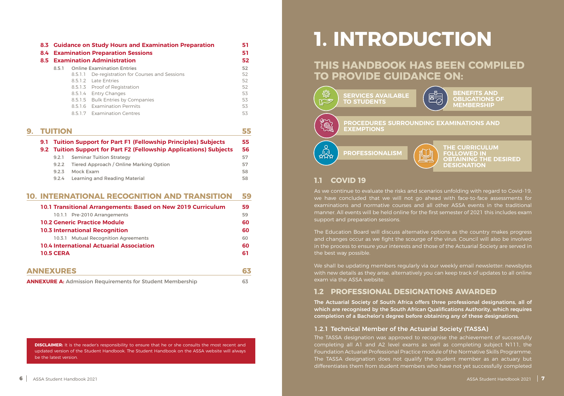<span id="page-3-0"></span>

| 8.3 Guidance on Study Hours and Examination Preparation<br><b>8.4 Examination Preparation Sessions</b> |         | 51                                       |    |
|--------------------------------------------------------------------------------------------------------|---------|------------------------------------------|----|
|                                                                                                        |         | <b>8.5 Examination Administration</b>    | 52 |
| 8.5.1                                                                                                  |         | <b>Online Examination Entries</b>        | 52 |
|                                                                                                        | 8.5.1.1 | De-registration for Courses and Sessions | 52 |
|                                                                                                        |         | 8.5.1.2 Late Entries                     | 52 |
|                                                                                                        |         | 8.5.1.3 Proof of Registration            | 52 |
|                                                                                                        |         | 8.5.1.4 Entry Changes                    | 53 |
|                                                                                                        |         | 8.5.1.5 Bulk Entries by Companies        | 53 |
|                                                                                                        |         | 8.5.1.6 Examination Permits              | 53 |
|                                                                                                        |         | 8.5.1.7 Examination Centres              | 53 |

| <b>TUITION</b> |       |                                                                                                                                        |          |
|----------------|-------|----------------------------------------------------------------------------------------------------------------------------------------|----------|
|                |       | 9.1 Tuition Support for Part F1 (Fellowship Principles) Subjects<br>9.2 Tuition Support for Part F2 (Fellowship Applications) Subjects | 55<br>56 |
|                | 9.2.1 | <b>Seminar Tuition Strategy</b>                                                                                                        | 57       |
|                | 9.2.2 | Tiered Approach / Online Marking Option                                                                                                | 57       |
|                | 9.2.3 | Mock Exam                                                                                                                              | 58       |
|                | 9.2.4 | <b>Learning and Reading Material</b>                                                                                                   | 58       |
|                |       |                                                                                                                                        |          |

#### **10. [INTERNATIONAL RECOGNITION AND TRANSITION](#page-27-0) 59**

| 10.1 Transitional Arrangements: Based on New 2019 Curriculum     | 59 |
|------------------------------------------------------------------|----|
| 10.1.1 Pre-2010 Arrangements                                     | 59 |
| <b>10.2 Generic Practice Module</b>                              | 60 |
| <b>10.3 International Recognition</b>                            | 60 |
| 10.3.1 Mutual Recognition Agreements                             | 60 |
| <b>10.4 International Actuarial Association</b>                  | 60 |
| <b>10.5 CERA</b>                                                 | 61 |
| <b>ANNEXURES</b>                                                 | 63 |
| <b>ANNEXURE A: Admission Requirements for Student Membership</b> | 63 |

**DISCLAIMER:** It is the reader's responsibility to ensure that he or she consults the most recent and updated version of the Student Handbook. The Student Handbook on the ASSA website will always be the latest version.

## **THIS HANDBOOK HAS BEEN COMPILED TO PROVIDE GUIDANCE ON:**

## **1. INTRODUCTION**

**BENEFITS AND OBLIGATIONS OF MEMBERSHIP**



**THE CURRICULUM FOLLOWED IN OBTAINING THE DESIRED DESIGNATION**

#### **1.1 COVID 19**

As we continue to evaluate the risks and scenarios unfolding with regard to Covid-19, we have concluded that we will not go ahead with face-to-face assessments for examinations and normative courses and all other ASSA events in the traditional manner. All events will be held online for the first semester of 2021 this includes exam support and preparation sessions.

The Education Board will discuss alternative options as the country makes progress and changes occur as we fight the scourge of the virus. Council will also be involved in the process to ensure your interests and those of the Actuarial Society are served in the best way possible.

We shall be updating members regularly via our weekly email newsletter: newsbytes with new details as they arise, alternatively you can keep track of updates to all online exam via the ASSA website.

## **1.2 PROFESSIONAL DESIGNATIONS AWARDED**

The Actuarial Society of South Africa offers three professional designations, all of which are recognised by the South African Qualifications Authority, which requires completion of a Bachelor's degree before obtaining any of these designations.

#### 1.2.1 Technical Member of the Actuarial Society (TASSA)

The TASSA designation was approved to recognise the achievement of successfully completing all A1 and A2 level exams as well as completing subject N111, the Foundation Actuarial Professional Practice module of the Normative Skills Programme. The TASSA designation does not qualify the student member as an actuary but differentiates them from student members who have not yet successfully completed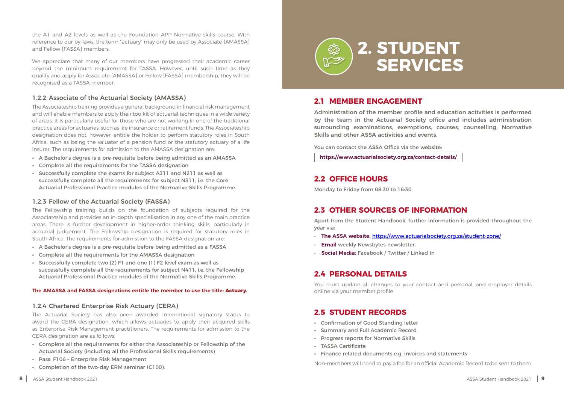| ebsite:      |  |
|--------------|--|
| act-details/ |  |

<span id="page-4-0"></span>the A1 and A2 levels as well as the Foundation APP Normative skills course. With reference to our by-laws, the term "actuary" may only be used by Associate [AMASSA] and Fellow [FASSA] members.

We appreciate that many of our members have progressed their academic career beyond the minimum requirement for TASSA. However, until such time as they qualify and apply for Associate [AMASSA] or Fellow [FASSA] membership, they will be recognised as a TASSA member.

#### 1.2.2 Associate of the Actuarial Society (AMASSA)

The Associateship training provides a general background in financial risk management and will enable members to apply their toolkit of actuarial techniques in a wide variety of areas. It is particularly useful for those who are not working in one of the traditional practice areas for actuaries, such as life insurance or retirement funds. The Associateship designation does not, however, entitle the holder to perform statutory roles in South Africa, such as being the valuator of a pension fund or the statutory actuary of a life insurer. The requirements for admission to the AMASSA designation are:

- **•** A Bachelor's degree is a pre-requisite before being admitted as an AMASSA
- **•** Complete all the requirements for the TASSA designation
- **•** Successfully complete the exams for subject A311 and N211 as well as successfully complete all the requirements for subject N311, i.e. the Core Actuarial Professional Practice modules of the Normative Skills Programme.

#### 1.2.3 Fellow of the Actuarial Society (FASSA)

The Fellowship training builds on the foundation of subjects required for the Associateship and provides an in-depth specialisation in any one of the main practice areas. There is further development in higher-order thinking skills, particularly in actuarial judgement. The Fellowship designation is required for statutory roles in South Africa. The requirements for admission to the FASSA designation are:

- **•** A Bachelor's degree is a pre-requisite before being admitted as a FASSA
- **•** Complete all the requirements for the AMASSA designation
- **•** Successfully complete two (2) F1 and one (1) F2 level exam as well as successfully complete all the requirements for subject N411, i.e. the Fellowship Actuarial Professional Practice modules of the Normative Skills Programme.

#### **The AMASSA and FASSA designations entitle the member to use the title: Actuary.**

#### 1.2.4 Chartered Enterprise Risk Actuary (CERA)

The Actuarial Society has also been awarded international signatory status to award the CERA designation, which allows actuaries to apply their acquired skills as Enterprise Risk Management practitioners. The requirements for admission to the CERA designation are as follows:

- **•** Complete all the requirements for either the Associateship or Fellowship of the Actuarial Society (including all the Professional Skills requirements)
- **•** Pass: F106 Enterprise Risk Management
- **•** Completion of the two-day ERM seminar (C100).

#### **2.1 MEMBER ENGAGEMENT**

Administration of the member profile and education activities is performed by the team in the Actuarial Society office and includes administration surrounding examinations, exemptions, courses, counselling, Normative Skills and other ASSA activities and events.

You can contact the ASSA Office via the we

https://www.actuarialsociety.org.za/cont

#### **2.2 OFFICE HOURS**

Monday to Friday from 08:30 to 16:30.

### **2.3 OTHER SOURCES OF INFORMATION**

Apart from the Student Handbook, further information is provided throughout the year via:

- **The ASSA website:** <https://www.actuarialsociety.org.za/student-zone/>
- **Email** weekly Newsbytes newsletter.
- **Social Media:** Facebook / Twitter / Linked In

#### **2.4 PERSONAL DETAILS**

You must update all changes to your contact and personal, and employer details online via your member profile.

#### **2.5 STUDENT RECORDS**

- **•** Confirmation of Good Standing letter
- **•** Summary and Full Academic Record
- **•** Progress reports for Normative Skills
- **•** TASSA Certificate
- **•** Finance related documents e.g. invoices and statements

Non-members will need to pay a fee for an official Academic Record to be sent to them.

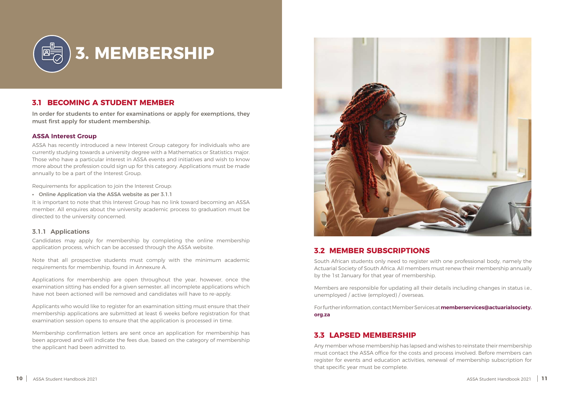### **3.1 BECOMING A STUDENT MEMBER**

In order for students to enter for examinations or apply for exemptions, they must first apply for student membership.

<span id="page-5-0"></span>

#### **ASSA Interest Group**

ASSA has recently introduced a new Interest Group category for individuals who are currently studying towards a university degree with a Mathematics or Statistics major. Those who have a particular interest in ASSA events and initiatives and wish to know more about the profession could sign up for this category. Applications must be made annually to be a part of the Interest Group.

Requirements for application to join the Interest Group:

**•** Online Application via the ASSA website as per 3.1.1

It is important to note that this Interest Group has no link toward becoming an ASSA member. All enquires about the university academic process to graduation must be directed to the university concerned.

#### 3.1.1 Applications

Candidates may apply for membership by completing the online membership application process, which can be accessed through the ASSA website.

Note that all prospective students must comply with the minimum academic requirements for membership, found in Annexure A.

Applications for membership are open throughout the year, however, once the examination sitting has ended for a given semester, all incomplete applications which have not been actioned will be removed and candidates will have to re-apply.

Applicants who would like to register for an examination sitting must ensure that their membership applications are submitted at least 6 weeks before registration for that examination session opens to ensure that the application is processed in time.

Membership confirmation letters are sent once an application for membership has been approved and will indicate the fees due, based on the category of membership the applicant had been admitted to.



#### **3.2 MEMBER SUBSCRIPTIONS**

South African students only need to register with one professional body, namely the Actuarial Society of South Africa. All members must renew their membership annually by the 1st January for that year of membership.

Members are responsible for updating all their details including changes in status i.e., unemployed / active (employed) / overseas.

For further information, contact Member Services at **[memberservices@actuarialsociety.](http://memberservices@actuarialsociety.org.za) [org.za](http://memberservices@actuarialsociety.org.za)**

#### **3.3 LAPSED MEMBERSHIP**

Any member whose membership has lapsed and wishes to reinstate their membership must contact the ASSA office for the costs and process involved. Before members can register for events and education activities, renewal of membership subscription for that specific year must be complete.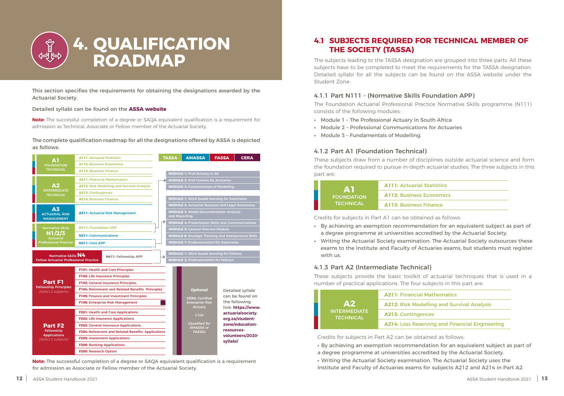This section specifies the requirements for obtaining the designations awarded by the Actuarial Society.

Detailed syllabi can be found on the **[ASSA website](https://www.actuarialsociety.org.za/student-zone/education-resources-volunteers/2021-syllabi-2/)**

**Note:** The successful completion of a degree or SAQA equivalent qualification is a requirement for admission as Technical, Associate or Fellow member of the Actuarial Society.

#### The complete qualification roadmap for all the designations offered by ASSA is depicted as follows:

<span id="page-6-0"></span>

## **4. QUALIFICATION ROADMAP**

**Note:** The successful completion of a degree or SAQA equivalent qualification is a requirement for admission as Associate or Fellow member of the Actuarial Society.



### **4.1 SUBJECTS REQUIRED FOR TECHNICAL MEMBER OF THE SOCIETY (TASSA)**

The subjects leading to the TASSA designation are grouped into three parts. All these subjects have to be completed to meet the requirements for the TASSA designation. Detailed syllabi for all the subjects can be found on the ASSA website under the Student Zone.

#### 4.1.1 Part N111 - (Normative Skills Foundation APP)

The Foundation Actuarial Professional Practice Normative Skills programme (N111) consists of the following modules:

- **•** Module 1 The Professional Actuary in South Africa
- **•** Module 2 Professional Communications for Actuaries
- **•** Module 3 Fundamentals of Modelling.

#### 4.1.3 Part A2 (Intermediate Technical)

These subjects provide the basic toolkit of actuarial techniques that is used in a number of practical applications. The four subjects in this part are:

| ÆV F<br><b>FOUNDATION</b><br><b>TECHNICAL</b> | <b>A111: Actuarial S</b> |
|-----------------------------------------------|--------------------------|
|                                               | <b>A112: Business E</b>  |
|                                               | <b>A113: Business Fi</b> |

**A111:** Actuarial Statistics

**Conomics** 

**inance** 

Credits for subjects in Part A1 can be obtained as follows:

- **•** By achieving an exemption recommendation for an equivalent subject as part of a degree programme at universities accredited by the Actuarial Society.
- **•** Writing the Actuarial Society examination. The Actuarial Society outsources these with us.

exams to the Institute and Faculty of Actuaries exams, but students must register

| <b>A2</b><br><b>INTERMEDIATE</b><br><b>TECHNICAL</b> | <b>A211: Financial M</b> |
|------------------------------------------------------|--------------------------|
|                                                      | <b>A212: Risk Model</b>  |
|                                                      | <b>A213: Contingeno</b>  |
|                                                      | <b>A214: Loss Resery</b> |

**A211:** Financial Mathematics

**Hing and Survival Analysis** 

ces

**A214:** Loss Reserving and Financial Engineering

Credits for subjects in Part A2 can be obtained as follows:

- **•** By achieving an exemption recommendation for an equivalent subject as part of
- a degree programme at universities accredited by the Actuarial Society.
- Institute and Faculty of Actuaries exams for subjects A212 and A214 in Part A2.

**•** Writing the Actuarial Society examination. The Actuarial Society uses the

#### 4.1.2 Part A1 (Foundation Technical)

These subjects draw from a number of disciplines outside actuarial science and form the foundation required to pursue in-depth actuarial studies. The three subjects in this part are: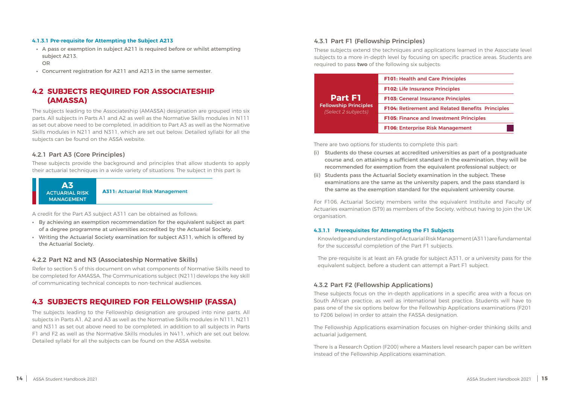A credit for the Part A3 subject A311 can be obtained as follows:

- **•** By achieving an exemption recommendation for the equivalent subject as part of a degree programme at universities accredited by the Actuarial Society.
- **•** Writing the Actuarial Society examination for subject A311, which is offered by the Actuarial Society.

#### **4.2 SUBJECTS REQUIRED FOR ASSOCIATESHIP (AMASSA)**

The subjects leading to the Associateship (AMASSA) designation are grouped into six parts. All subjects in Parts A1 and A2 as well as the Normative Skills modules in N111 as set out above need to be completed, in addition to Part A3 as well as the Normative Skills modules in N211 and N311, which are set out below. Detailed syllabi for all the subjects can be found on the ASSA website.

#### 4.2.1 Part A3 (Core Principles)

These subjects provide the background and principles that allow students to apply their actuarial techniques in a wide variety of situations. The subject in this part is:

#### **4.3 SUBJECTS REQUIRED FOR FELLOWSHIP (FASSA)**

The subjects leading to the Fellowship designation are grouped into nine parts. All subjects in Parts A1, A2 and A3 as well as the Normative Skills modules in N111, N211 and N311 as set out above need to be completed, in addition to all subjects in Parts F1 and F2 as well as the Normative Skills modules in N411, which are set out below. Detailed syllabi for all the subjects can be found on the ASSA website.



#### 4.2.2 Part N2 and N3 (Associateship Normative Skills)

Refer to section 5 of this document on what components of Normative Skills need to be completed for AMASSA. The Communications subject (N211) develops the key skill of communicating technical concepts to non-technical audiences.

#### <span id="page-7-0"></span>**4.1.3.1 Pre-requisite for Attempting the Subject A213**

- **•** A pass or exemption in subject A211 is required before or whilst attempting subject A213. OR
- **•** Concurrent registration for A211 and A213 in the same semester.

There are two options for students to complete this part:

- (i) Students do these courses at accredited universities as part of a postgraduate course and, on attaining a sufficient standard in the examination, they will be recommended for exemption from the equivalent professional subject; or
- (ii) Students pass the Actuarial Society examination in the subject. These examinations are the same as the university papers, and the pass standard is the same as the exemption standard for the equivalent university course.

For F106, Actuarial Society members write the equivalent Institute and Faculty of Actuaries examination (ST9) as members of the Society, without having to join the UK organisation.

#### **4.3.1.1 Prerequisites for Attempting the F1 Subjects**

Knowledge and understanding of Actuarial Risk Management (A311) are fundamental for the successful completion of the Part F1 subjects.

The pre-requisite is at least an FA grade for subject A311, or a university pass for the equivalent subject, before a student can attempt a Part F1 subject.

#### 4.3.2 Part F2 (Fellowship Applications)

These subjects focus on the in-depth applications in a specific area with a focus on South African practice, as well as international best practice. Students will have to pass one of the six options below for the Fellowship Applications examinations (F201 to F206 below) in order to attain the FASSA designation.

The Fellowship Applications examination focuses on higher-order thinking skills and actuarial judgement.

There is a Research Option (F200) where a Masters level research paper can be written instead of the Fellowship Applications examination.

#### 4.3.1 Part F1 (Fellowship Principles)

These subjects extend the techniques and applications learned in the Associate level subjects to a more in-depth level by focusing on specific practice areas. Students are required to pass **two** of the following six subjects:

|                                                     | <b>F101: Health and Care Principles</b>  |
|-----------------------------------------------------|------------------------------------------|
|                                                     | <b>F102: Life Insurance Principles</b>   |
| <b>Part F1</b>                                      | <b>F103: General Insurance Principle</b> |
| <b>Fellowship Principles</b><br>(Select 2 subjects) | F104: Retirement and Related Be          |
|                                                     | <b>F105: Finance and Investment Pr</b>   |
|                                                     | <b>F106: Enterprise Risk Manageme</b>    |

| <b>F101: Health and Care Principles</b>          |
|--------------------------------------------------|
| <b>F102: Life Insurance Principles</b>           |
| <b>F103: General Insurance Principles</b>        |
| F104: Retirement and Related Benefits Principles |
| <b>F105: Finance and Investment Principles</b>   |
| <b>F106: Enterprise Risk Management</b>          |
|                                                  |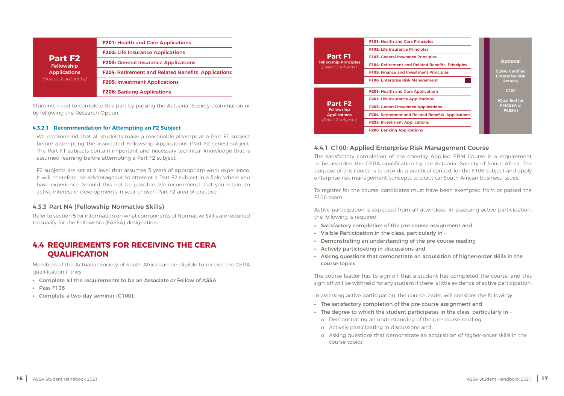Students need to complete this part by passing the Actuarial Society examination or by following the Research Option.

<span id="page-8-0"></span>

| <b>Part F2</b><br><b>Fellowship</b><br><b>Applications</b><br>(Select 2 subjects) | <b>F201: Health and Care Applications</b>                 |  |
|-----------------------------------------------------------------------------------|-----------------------------------------------------------|--|
|                                                                                   | <b>F202: Life Insurance Applications</b>                  |  |
|                                                                                   | <b>F203: General Insurance Applications</b>               |  |
|                                                                                   | <b>F204: Retirement and Related Benefits Applications</b> |  |
|                                                                                   | <b>F205: Investment Applications</b>                      |  |
|                                                                                   | <b>F206: Banking Applications</b>                         |  |

#### **4.3.2.1 Recommendation for Attempting an F2 Subject**

We recommend that all students make a reasonable attempt at a Part F1 subject before attempting the associated Fellowship Applications (Part F2 series) subject. The Part F1 subjects contain important and necessary technical knowledge that is assumed learning before attempting a Part F2 subject.

F2 subjects are set at a level that assumes 3 years of appropriate work experience. It will, therefore, be advantageous to attempt a Part F2 subject in a field where you have experience. Should this not be possible, we recommend that you retain an active interest in developments in your chosen Part F2 area of practice.

#### 4.3.3 Part N4 (Fellowship Normative Skills)

Refer to section 5 for information on what components of Normative Skills are required to qualify for the Fellowship (FASSA) designation.

#### **4.4 REQUIREMENTS FOR RECEIVING THE CERA QUALIFICATION**

Members of the Actuarial Society of South Africa can be eligible to receive the CERA qualification if they:

- **•** Complete all the requirements to be an Associate or Fellow of ASSA
- **•** Pass F106
- **•** Complete a two-day seminar (C100).

|                                                                                   | <b>F101: Health and Care Principles</b>  |
|-----------------------------------------------------------------------------------|------------------------------------------|
|                                                                                   | <b>F102: Life Insurance Principles</b>   |
| <b>Part F1</b>                                                                    | <b>F103: General Insurance Principle</b> |
| <b>Fellowship Principles</b><br>(Select 2 subjects)                               | <b>F104: Retirement and Related Be</b>   |
|                                                                                   | <b>F105: Finance and Investment Pr</b>   |
|                                                                                   | <b>F106: Enterprise Risk Manageme</b>    |
|                                                                                   |                                          |
|                                                                                   | F201: Health and Care Applicatio         |
| <b>Part F2</b><br><b>Fellowship</b><br><b>Applications</b><br>(Select 2 subjects) | <b>F202: Life Insurance Applications</b> |
|                                                                                   | <b>F203: General Insurance Applicat</b>  |
|                                                                                   | <b>F204: Retirement and Related Be</b>   |
|                                                                                   |                                          |
|                                                                                   | <b>F205: Investment Applications</b>     |



#### 4.4.1 C100: Applied Enterprise Risk Management Course

The satisfactory completion of the one-day Applied ERM Course is a requirement to be awarded the CERA qualification by the Actuarial Society of South Africa. The purpose of this course is to provide a practical context for the F106 subject and apply enterprise risk management concepts to practical South African business issues.

To register for the course, candidates must have been exempted from or passed the F106 exam.

Active participation is expected from all attendees, in assessing active participation, the following is required:

- **•** Satisfactory completion of the pre-course assignment and
- **•** Visible Participation in the class, particularly in –
- **•** Demonstrating an understanding of the pre-course reading
- **•** Actively participating in discussions and
- **•** Asking questions that demonstrate an acquisition of higher-order skills in the course topics.

The course leader has to sign off that a student has completed the course, and this sign-off will be withheld for any student if there is little evidence of active participation.

In assessing active participation, the course leader will consider the following:

- **•** The satisfactory completion of the pre-course assignment and
- **•** The degree to which the student participates in the class, particularly in –
- o Actively participating in discussions and
- o Asking questions that demonstrate an acquisition of higher-order skills in the course topics.
- o Demonstrating an understanding of the pre-course reading
	-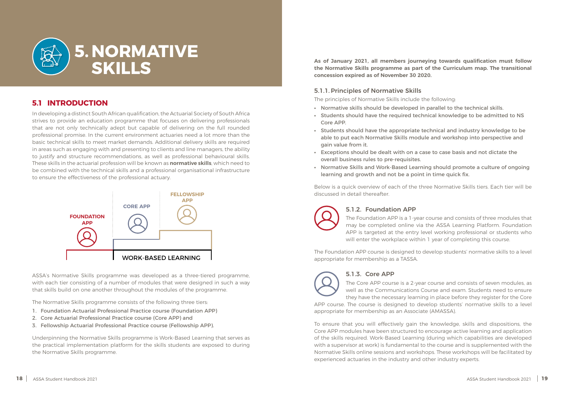<span id="page-9-0"></span>

## **5. NORMATIVE SKILLS**

### **5.1 INTRODUCTION**

In developing a distinct South African qualification, the Actuarial Society of South Africa strives to provide an education programme that focuses on delivering professionals that are not only technically adept but capable of delivering on the full rounded professional promise. In the current environment actuaries need a lot more than the basic technical skills to meet market demands. Additional delivery skills are required in areas such as engaging with and presenting to clients and line managers, the ability to justify and structure recommendations, as well as professional behavioural skills. These skills in the actuarial profession will be known as **normative skills**, which need to be combined with the technical skills and a professional organisational infrastructure to ensure the effectiveness of the professional actuary.

ASSA's Normative Skills programme was developed as a three-tiered programme, with each tier consisting of a number of modules that were designed in such a way that skills build on one another throughout the modules of the programme.

The Normative Skills programme consists of the following three tiers:

- 1. Foundation Actuarial Professional Practice course (Foundation APP)
- 2. Core Actuarial Professional Practice course (Core APP) and
- 3. Fellowship Actuarial Professional Practice course (Fellowship APP).

Underpinning the Normative Skills programme is Work-Based Learning that serves as the practical implementation platform for the skills students are exposed to during the Normative Skills programme.

**As of January 2021, all members journeying towards qualification must follow the Normative Skills programme as part of the Curriculum map. The transitional concession expired as of November 30 2020.**

#### 5.1.1.Principles of Normative Skills

The principles of Normative Skills include the following:

- **•** Normative skills should be developed in parallel to the technical skills.
- **•** Students should have the required technical knowledge to be admitted to NS Core APP.
- **•** Students should have the appropriate technical and industry knowledge to be able to put each Normative Skills module and workshop into perspective and gain value from it.
- **•** Exceptions should be dealt with on a case to case basis and not dictate the overall business rules to pre-requisites.
- **•** Normative Skills and Work-Based Learning should promote a culture of ongoing learning and growth and not be a point in time quick fix.

Below is a quick overview of each of the three Normative Skills tiers. Each tier will be discussed in detail thereafter.



#### 5.1.2. Foundation APP

The Foundation APP is a 1-year course and consists of three modules that may be completed online via the ASSA Learning Platform. Foundation APP is targeted at the entry level working professional or students who will enter the workplace within 1 year of completing this course.

The Foundation APP course is designed to develop students' normative skills to a level appropriate for membership as a TASSA.



#### 5.1.3. Core APP

The Core APP course is a 2-year course and consists of seven modules, as well as the Communications Course and exam. Students need to ensure they have the necessary learning in place before they register for the Core APP course. The course is designed to develop students' normative skills to a level appropriate for membership as an Associate (AMASSA).

To ensure that you will effectively gain the knowledge, skills and dispositions, the Core APP modules have been structured to encourage active learning and application of the skills required. Work-Based Learning (during which capabilities are developed with a supervisor at work) is fundamental to the course and is supplemented with the Normative Skills online sessions and workshops. These workshops will be facilitated by experienced actuaries in the industry and other industry experts.

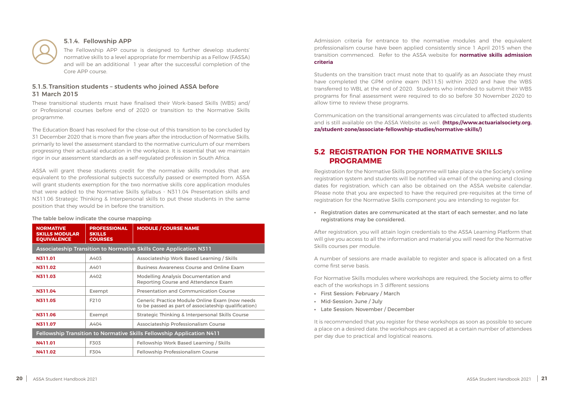<span id="page-10-0"></span>

#### 5.1.4. Fellowship APP

The Fellowship APP course is designed to further develop students' normative skills to a level appropriate for membership as a Fellow (FASSA) and will be an additional 1 year after the successful completion of the Core APP course.

#### 5.1.5. Transition students – students who joined ASSA before 31 March 2015

These transitional students must have finalised their Work-based Skills (WBS) and/ or Professional courses before end of 2020 or transition to the Normative Skills programme.

The Education Board has resolved for the close-out of this transition to be concluded by 31 December 2020 that is more than five years after the introduction of Normative Skills, primarily to level the assessment standard to the normative curriculum of our members progressing their actuarial education in the workplace. It is essential that we maintain rigor in our assessment standards as a self-regulated profession in South Africa.

ASSA will grant these students credit for the normative skills modules that are equivalent to the professional subjects successfully passed or exempted from. ASSA will grant students exemption for the two normative skills core application modules that were added to the Normative Skills syllabus - N311.04 Presentation skills and N311.06 Strategic Thinking & Interpersonal skills to put these students in the same position that they would be in before the transition.

#### The table below indicate the course mapping:

| <b>NORMATIVE</b><br><b>SKILLS MODULAR</b><br><b>EQUIVALENCE</b>       | <b>PROFESSIONAL</b><br><b>SKILLS</b><br><b>COURSES</b> | <b>MODULE / COURSE NAME</b>                                                                                   |  |  |
|-----------------------------------------------------------------------|--------------------------------------------------------|---------------------------------------------------------------------------------------------------------------|--|--|
|                                                                       |                                                        | <b>Associateship Transition to Normative Skills Core Application N311</b>                                     |  |  |
| N311.01                                                               | A403                                                   | Associateship Work Based Learning / Skills                                                                    |  |  |
| N311.02                                                               | A401                                                   | <b>Business Awareness Course and Online Exam</b>                                                              |  |  |
| <b>N311.03</b>                                                        | A402                                                   | <b>Modelling Analysis Documentation and</b><br><b>Reporting Course and Attendance Exam</b>                    |  |  |
| N311.04                                                               | Exempt                                                 | <b>Presentation and Communication Course</b>                                                                  |  |  |
| N311.05                                                               | F210                                                   | <b>Generic Practice Module Online Exam (now needs</b><br>to be passed as part of associateship qualification) |  |  |
| N311.06                                                               | Exempt                                                 | <b>Strategic Thinking &amp; Interpersonal Skills Course</b>                                                   |  |  |
| N311.07                                                               | A404                                                   | <b>Associateship Professionalism Course</b>                                                                   |  |  |
| Fellowship Transition to Normative Skills Fellowship Application N411 |                                                        |                                                                                                               |  |  |
| <b>N411.01</b>                                                        | F303                                                   | Fellowship Work Based Learning / Skills                                                                       |  |  |
| <b>N411.02</b>                                                        | F304                                                   | <b>Fellowship Professionalism Course</b>                                                                      |  |  |

Admission criteria for entrance to the normative modules and the equivalent professionalism course have been applied consistently since 1 April 2015 when the transition commenced. Refer to the ASSA website for **[normative skills admission](https://www.actuarialsociety.org.za/student-zone/associate-fellowship-studies/normative-skills/)  [criteria](https://www.actuarialsociety.org.za/student-zone/associate-fellowship-studies/normative-skills/)**

Students on the transition tract must note that to qualify as an Associate they must have completed the GPM online exam (N311.5) within 2020 and have the WBS transferred to WBL at the end of 2020. Students who intended to submit their WBS programs for final assessment were required to do so before 30 November 2020 to allow time to review these programs.

Communication on the transitional arrangements was circulated to affected students and is still available on the ASSA Website as well. **[\(https://www.actuarialsociety.org.](https://www.actuarialsociety.org.za/student-zone/associate-fellowship-studies/normative-skills/) [za/student-zone/associate-fellowship-studies/normative-skills/\)](https://www.actuarialsociety.org.za/student-zone/associate-fellowship-studies/normative-skills/)**

### **5.2 REGISTRATION FOR THE NORMATIVE SKILLS PROGRAMME**

Registration for the Normative Skills programme will take place via the Society's online registration system and students will be notified via email of the opening and closing dates for registration, which can also be obtained on the ASSA website calendar. Please note that you are expected to have the required pre-requisites at the time of registration for the Normative Skills component you are intending to register for.

**•** Registration dates are communicated at the start of each semester, and no late registrations may be considered.

After registration, you will attain login credentials to the ASSA Learning Platform that will give you access to all the information and material you will need for the Normative Skills courses per module.

A number of sessions are made available to register and space is allocated on a first come first serve basis.

For Normative Skills modules where workshops are required, the Society aims to offer each of the workshops in 3 different sessions

- **•** First Session: February / March
- **•** Mid-Session: June / July
- **•** Late Session: November / December

It is recommended that you register for these workshops as soon as possible to secure a place on a desired date, the workshops are capped at a certain number of attendees per day due to practical and logistical reasons.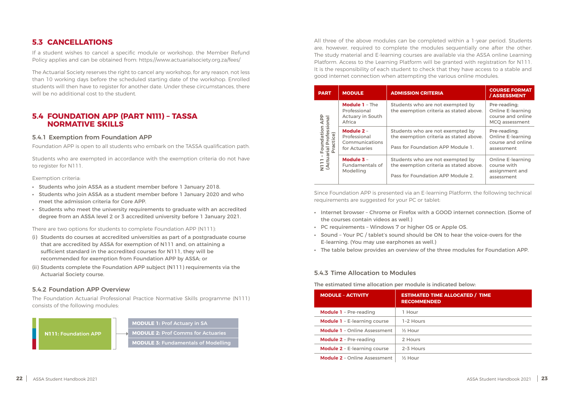#### <span id="page-11-0"></span>**5.3 CANCELLATIONS**

If a student wishes to cancel a specific module or workshop, the Member Refund Policy applies and can be obtained from: https://www.actuarialsociety.org.za/fees/

The Actuarial Society reserves the right to cancel any workshop, for any reason, not less than 10 working days before the scheduled starting date of the workshop. Enrolled students will then have to register for another date. Under these circumstances, there will be no additional cost to the student.

#### **5.4 FOUNDATION APP (PART N111) – TASSA NORMATIVE SKILLS**

#### 5.4.1 Exemption from Foundation APP

Foundation APP is open to all students who embark on the TASSA qualification path.

Students who are exempted in accordance with the exemption criteria do not have to register for N111.

Exemption criteria:

- **•** Students who join ASSA as a student member before 1 January 2018.
- **•** Students who join ASSA as a student member before 1 January 2020 and who meet the admission criteria for Core APP.
- **•** Students who meet the university requirements to graduate with an accredited degree from an ASSA level 2 or 3 accredited university before 1 January 2021.

There are two options for students to complete Foundation APP (N111):

- (i) Students do courses at accredited universities as part of a postgraduate course that are accredited by ASSA for exemption of N111 and, on attaining a sufficient standard in the accredited courses for N111, they will be recommended for exemption from Foundation APP by ASSA; or
- (ii) Students complete the Foundation APP subject (N111) requirements via the Actuarial Society course.

#### 5.4.2 Foundation APP Overview

The Foundation Actuarial Professional Practice Normative Skills programme (N111) consists of the following modules:



All three of the above modules can be completed within a 1-year period. Students are, however, required to complete the modules sequentially one after the other. The study material and E-learning courses are available via the ASSA online Learning Platform. Access to the Learning Platform will be granted with registration for N111. It is the responsibility of each student to check that they have access to a stable and good internet connection when attempting the various online modules.

| <b>MODULE</b><br><b>PART</b>                                        |                                                                            | <b>ADMISSION CRITERIA</b>                                                                                        | <b>COURSE FORMAT</b><br>/ASSESSMENT                                             |
|---------------------------------------------------------------------|----------------------------------------------------------------------------|------------------------------------------------------------------------------------------------------------------|---------------------------------------------------------------------------------|
| <b>APP</b>                                                          | <b>Module 1 - The</b><br>Professional<br><b>Actuary in South</b><br>Africa | Students who are not exempted by<br>the exemption criteria as stated above.                                      | Pre-reading;<br><b>Online E-learning</b><br>course and online<br>MCQ assessment |
| Professional<br>Foundation<br>ctice)<br>N111 - Four<br>(Actuarial I | Module 2 -<br>Professional<br>Communications<br>for Actuaries              | Students who are not exempted by<br>the exemption criteria as stated above.<br>Pass for Foundation APP Module 1. | Pre-reading;<br><b>Online E-learning</b><br>course and online<br>assessment     |
|                                                                     | Module 3 -<br><b>Fundamentals of</b><br>Modelling                          | Students who are not exempted by<br>the exemption criteria as stated above.<br>Pass for Foundation APP Module 2. | <b>Online E-learning</b><br>course with<br>assignment and<br>assessment         |

Since Foundation APP is presented via an E-learning Platform, the following technical requirements are suggested for your PC or tablet:

- **•** Internet browser Chrome or Firefox with a GOOD internet connection. (Some of the courses contain videos as well.)
- **•** PC requirements Windows 7 or higher OS or Apple OS.
- **•** Sound Your PC / tablet's sound should be ON to hear the voice-overs for the E-learning. (You may use earphones as well.)
- **•** The table below provides an overview of the three modules for Foundation APP.

#### 5.4.3 Time Allocation to Modules

The estimated time allocation per module is indicated below:



| <b>MODULE - ACTIVITY</b>            | <b>ESTIMATE</b><br><b>RECOMME</b> |
|-------------------------------------|-----------------------------------|
| <b>Module 1</b> - Pre-reading       | 1 Hour                            |
| <b>Module 1</b> - E-learning course | 1-2 Hours                         |
| <b>Module 1</b> - Online Assessment | $\frac{1}{2}$ Hour                |
| <b>Module 2</b> - Pre-reading       | 2 Hours                           |
| <b>Module 2 - E-learning course</b> | 2-3 Hours                         |
| <b>Module 2</b> - Online Assessment | $\frac{1}{2}$ Hour                |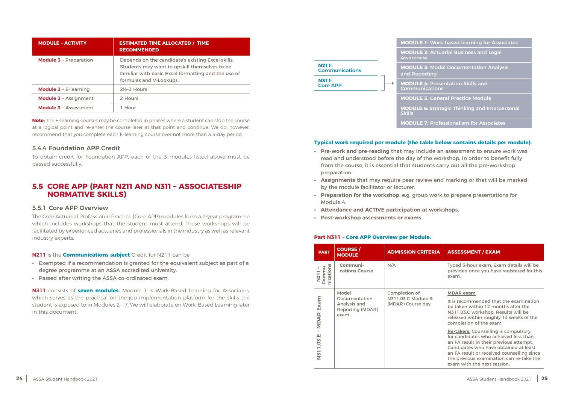<span id="page-12-0"></span>

| <b>MODULE - ACTIVITY</b>      | <b>ESTIMATED TIME ALLOCATED / TIME</b><br><b>RECOMMENDED</b>                                                                                                                         |
|-------------------------------|--------------------------------------------------------------------------------------------------------------------------------------------------------------------------------------|
| <b>Module 3</b> - Preparation | Depends on the candidate's existing Excel skills.<br>Students may want to upskill themselves to be<br>familiar with basic Excel formatting and the use of<br>formulas and V-Lookups. |
| <b>Module 3 - E-learning</b>  | $2\frac{1}{2}$ -3 Hours                                                                                                                                                              |
| <b>Module 3 - Assignment</b>  | 2 Hours                                                                                                                                                                              |
| <b>Module 3 - Assessment</b>  | 1 Hour                                                                                                                                                                               |

**Note:** The E-learning courses may be completed in phases where a student can stop the course at a logical point and re-enter the course later at that point and continue. We do, however, recommend that you complete each E-learning course over not more than a 3-day period.

#### 5.4.4 Foundation APP Credit

To obtain credit for Foundation APP, each of the 3 modules listed above must be passed successfully.

#### **5.5 CORE APP (PART N211 AND N311 – ASSOCIATESHIP NORMATIVE SKILLS)**

#### 5.5.1 Core APP Overview

The Core Actuarial Professional Practice (Core APP) modules form a 2-year programme which includes workshops that the student must attend. These workshops will be facilitated by experienced actuaries and professionals in the industry as well as relevant industry experts.

#### **N211** is the **Communications subject** Credit for N211 can be

- **•** Exempted if a recommendation is granted for the equivalent subject as part of a degree programme at an ASSA accredited university.
- **•** Passed after writing the ASSA co-ordinated exam.

**N311** consists of **seven modules.** Module 1 is Work-Based Learning for Associates, which serves as the practical on-the-job implementation platform for the skills the student is exposed to in Modules 2 – 7. We will elaborate on Work-Based Learning later in this document.

**MODULE 4:** Presentation Skills and ions

**Module 5: General Practice Module** 

**Itrategic Thinking and Interpersonal** 

**Professionalism for Associates** 

#### **Typical work required per module (the table below contains details per module):**

- **• Pre-work and pre-reading** that may include an assessment to ensure work was read and understood before the day of the workshop. In order to benefit fully from the course, it is essential that students carry out all the pre-workshop preparation.
- **• Assignments** that may require peer review and marking or that will be marked by the module facilitator or lecturer.
- **• Preparation for the workshop**, e.g. group work to prepare presentations for Module 4.
- **• Attendance and ACTIVE participation at workshops.**
- **• Post-workshop assessments or exams.**

#### **Part N311 – Core APP Overview per Module:**

| <b>PART</b>                              | <b>COURSE</b> /<br><b>MODULE</b>                                          | <b>ADMISSION CRITERIA</b>                                   | <b>ASSESSMENT / EXAM</b>                                                                                                                                                                                                                                                                          |
|------------------------------------------|---------------------------------------------------------------------------|-------------------------------------------------------------|---------------------------------------------------------------------------------------------------------------------------------------------------------------------------------------------------------------------------------------------------------------------------------------------------|
| Su<br>nicatio<br>Comm<br>$\overline{21}$ | Communi-<br>cations Course                                                | N/A                                                         | Typed 3-hour exam. Exam details will be<br>provided once you have registered for this<br>exam.                                                                                                                                                                                                    |
| Exam<br><b>MDAR</b>                      | Model<br>Documentation<br>Analysis and<br><b>Reporting (MDAR)</b><br>exam | Completion of:<br>N311.03.C Module 3:<br>(MDAR) Course day. | <b>MDAR</b> exam<br>It is recommended that the examination<br>be taken within 12 months after the<br>N311.03.C workshop. Results will be<br>released within roughly 13 weeks of the<br>completion of the exam.                                                                                    |
| N311.03.E                                |                                                                           |                                                             | <b>Re-takers: Counselling is compulsory</b><br>for candidates who achieved less than<br>an FA result in their previous attempt.<br>Candidates who have obtained at least<br>an FA result or received counselling since<br>the previous examination can re-take the<br>exam with the next session. |

| <b>MODULE 1: Work based learning for Associates</b> |  |
|-----------------------------------------------------|--|
|-----------------------------------------------------|--|

**MODULE 2:** Actuarial Business and Legal

**Model Documentation Analysis** 

|                                       | <b>MODULE 1: Wo</b>                     |
|---------------------------------------|-----------------------------------------|
|                                       | <b>MODULE 2: Ac</b><br><b>Awareness</b> |
| <b>N211:</b><br><b>Communications</b> | <b>MODULE 3: Mc</b><br>and Reporting    |
| <b>N311:</b><br><b>Core APP</b>       | <b>MODULE 4: Pre</b><br>Communicatio    |
|                                       | <b>MODULE 5: Ge</b>                     |
|                                       | <b>MODULE 6: Str</b><br><b>Skills</b>   |
|                                       | <b>MODULE 7: Pro</b>                    |
|                                       |                                         |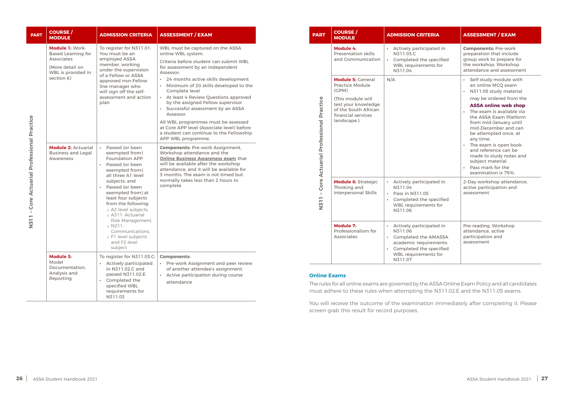| <b>PART</b>                                                                                                                             | <b>COURSE</b> /<br><b>MODULE</b>                                                                                         | <b>ADMISSION CRITERIA</b>                                                                                                                                                                                                                                                                                                                                                                                                    | <b>ASSESSMENT / EXAM</b>                                                                                                                                                                                                                                                                                                                                                                                                                                                                                                                              |
|-----------------------------------------------------------------------------------------------------------------------------------------|--------------------------------------------------------------------------------------------------------------------------|------------------------------------------------------------------------------------------------------------------------------------------------------------------------------------------------------------------------------------------------------------------------------------------------------------------------------------------------------------------------------------------------------------------------------|-------------------------------------------------------------------------------------------------------------------------------------------------------------------------------------------------------------------------------------------------------------------------------------------------------------------------------------------------------------------------------------------------------------------------------------------------------------------------------------------------------------------------------------------------------|
|                                                                                                                                         | Module 1: Work-<br><b>Based Learning for</b><br><b>Associates</b><br>(More detail on<br>WBL is provided in<br>section 6) | To register for N311.01:<br>You must be an<br>employed ASSA<br>member, working<br>under the supervision<br>of a Fellow or ASSA<br>approved non-Fellow<br>line manager who<br>will sign off the self-<br>assessment and action<br>plan                                                                                                                                                                                        | WBL must be captured on the ASSA<br>online WBL system.<br>Criteria before student can submit WBL<br>for assessment by an independent<br>Assessor:<br>24 months active skills development<br>Minimum of 20 skills developed to the<br>$\bullet$<br>Complete level<br>At least 4 Review Questions approved<br>by the assigned Fellow supervisor<br>Successful assessment by an ASSA<br>Assessor.<br>All WBL programmes must be assessed<br>at Core APP level (Associate level) before<br>a student can continue to the Fellowship<br>APP WBL programme. |
| <b>COLE ACELERIA FELIQUE ACELERIA EN MANAGEMENT EN MANAGEMENT EN MANAGEMENT EN MANAGEMENT EN MANAGEMENT EN MANAGEM</b><br>$\frac{1}{2}$ | <b>Module 2: Actuarial</b><br><b>Business and Legal</b><br>Awareness                                                     | Passed (or been<br>$\bullet$ .<br>exempted from)<br><b>Foundation APP</b><br>Passed (or been<br>$\bullet$<br>exempted from)<br>all three A1 level<br>subjects; and<br>Passed (or been<br>$\bullet$<br>exempted from) at<br>least four subjects<br>from the following:<br>o A2 level subjects,<br>o A311: Actuarial<br>Risk Management,<br>$\circ$ N211:<br>Communications.<br>o F1 level subjects<br>and F2 level<br>subject | <b>Components: Pre-work Assignment,</b><br>Workshop attendance and the<br><b>Online Business Awareness exam that</b><br>will be available after the workshop<br>attendance, and it will be available for<br>3 months. The exam is not timed but<br>normally takes less than 2 hours to<br>complete.                                                                                                                                                                                                                                                   |
|                                                                                                                                         | <b>Module 3:</b><br>Model<br>Documentation.<br>Analysis and<br>Reporting                                                 | To register for N311.03.C:<br><b>Actively participated</b><br>$\bullet$<br>in N311.02.C and<br>passed N311.02.E<br>Completed the<br>$\bullet$<br>specified WBL<br>requirements for<br>N311.03                                                                                                                                                                                                                                | <b>Components:</b><br>Pre-work Assignment and peer review<br>of another attendee's assignment.<br>Active participation during course<br>$\bullet$<br>attendance                                                                                                                                                                                                                                                                                                                                                                                       |

| <b>PART</b>                          | <b>COURSE</b> /<br><b>MODULE</b>                                                                                                                                     | <b>ADMISSION CRITERIA</b>                                                                                                                                                                                                                                                                                                                                                                                                                                                                              | <b>ASSESSMENT / EXAM</b>                                                                                                                    |
|--------------------------------------|----------------------------------------------------------------------------------------------------------------------------------------------------------------------|--------------------------------------------------------------------------------------------------------------------------------------------------------------------------------------------------------------------------------------------------------------------------------------------------------------------------------------------------------------------------------------------------------------------------------------------------------------------------------------------------------|---------------------------------------------------------------------------------------------------------------------------------------------|
|                                      | Module 4:<br><b>Presentation skills</b><br>and Communication                                                                                                         | Actively participated in<br>N311.03.C<br>Completed the specified<br>$\bullet$<br><b>WBL requirements for</b><br>N311.04                                                                                                                                                                                                                                                                                                                                                                                | <b>Components: Pre-work</b><br>preparation that include<br>group work to prepare for<br>the workshop, Workshop<br>attendance and assessment |
| Core Actuarial Professional Practice | <b>Module 5: General</b><br><b>Practice Module</b><br>(CPM)<br>(This module will<br>test your knowledge<br>of the South African<br>financial services<br>landscape.) | N/A<br>Self-study module with<br>$\bullet$<br>an online MCQ exam<br>N311.05 study material<br>$\bullet$<br>may be ordered from the<br><b>ASSA online web shop</b><br>The exam is available via<br>$\bullet$<br>the ASSA Exam Platform<br>from mid-January until<br>mid-December and can<br>be attempted once, at<br>any time.<br>The exam is open book<br>$\bullet$ .<br>and reference can be<br>made to study notes and<br>subject material.<br>Pass mark for the<br>$\bullet$<br>examination is 75%. |                                                                                                                                             |
| $\mathbf{I}$<br>N311                 | <b>Module 6: Strategic</b><br>Thinking and<br><b>Interpersonal Skills</b>                                                                                            | Actively participated in<br>$\bullet$<br>N311.04<br>Pass in N311.05<br>$\bullet$<br>Completed the specified<br>$\bullet$<br><b>WBL requirements for</b><br>N311.06                                                                                                                                                                                                                                                                                                                                     | 2-Day workshop attendance,<br>active participation and<br>assessment                                                                        |
|                                      | Module 7:<br>Professionalism for<br><b>Associates</b>                                                                                                                | • Actively participated in<br>N311.06<br><b>Completed the AMASSA</b><br>$\bullet$<br>academic requirements.<br>Completed the specified<br>$\bullet$<br><b>WBL requirements for</b><br>N311.07                                                                                                                                                                                                                                                                                                          | Pre-reading, Workshop<br>attendance, active<br>participation and<br>assessment                                                              |

#### **Online Exams**

The rules for all online exams are governed by the [ASSA Online Exam Policy](https://www.actuarialsociety.org.za/student-zone/exams/exam-policies-and-calculators/) and all candidates must adhere to these rules when attempting the N311.02.E and the N311.05 exams.

You will receive the outcome of the examination immediately after completing it. Please screen grab this result for record purposes.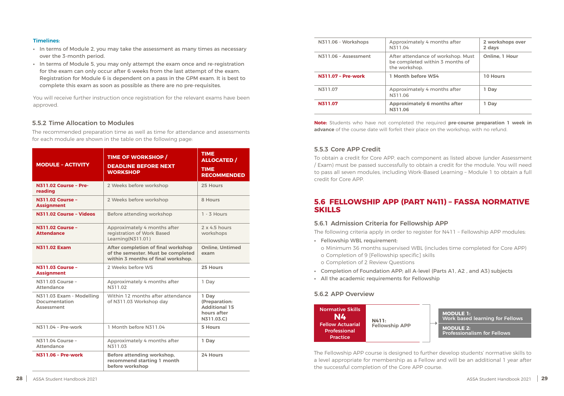#### 5.5.2 Time Allocation to Modules

The recommended preparation time as well as time for attendance and assessments for each module are shown in the table on the following page:

| <b>MODULE - ACTIVITY</b>                                       | <b>TIME OF WORKSHOP /</b><br><b>DEADLINE BEFORE NEXT</b><br><b>WORKSHOP</b>                                    | <b>TIME</b><br><b>ALLOCATED /</b><br><b>TIME</b><br><b>RECOMMENDED</b>      |
|----------------------------------------------------------------|----------------------------------------------------------------------------------------------------------------|-----------------------------------------------------------------------------|
| <b>N311.02 Course - Pre-</b><br>reading                        | 2 Weeks before workshop                                                                                        | 25 Hours                                                                    |
| <b>N311.02 Course -</b><br><b>Assignment</b>                   | 2 Weeks before workshop                                                                                        | 8 Hours                                                                     |
| N311.02 Course - Videos                                        | Before attending workshop                                                                                      | $1 - 3$ Hours                                                               |
| <b>N311.02 Course -</b><br><b>Attendance</b>                   | Approximately 4 months after<br>registration of Work Based<br>Learning(N311.01)                                | 2x 4.5 hours<br>workshops                                                   |
| <b>N311.02 Exam</b>                                            | After completion of final workshop<br>of the semester. Must be completed<br>within 3 months of final workshop. | <b>Online, Untimed</b><br>exam                                              |
| <b>N311.03 Course -</b><br><b>Assignment</b>                   | 2 Weeks before WS                                                                                              | 25 Hours                                                                    |
| N311.03 Course -<br><b>Attendance</b>                          | Approximately 4 months after<br>N311.02                                                                        | 1 Day                                                                       |
| N311.03 Exam - Modelling<br><b>Documentation</b><br>Assessment | Within 12 months after attendance<br>of N311.03 Workshop day                                                   | 1 Day<br>(Preparation:<br><b>Additional 15</b><br>hours after<br>N311.03.C) |
| N311.04 - Pre-work                                             | 1 Month before N311.04                                                                                         | <b>5 Hours</b>                                                              |
| N311.04 Course -<br><b>Attendance</b>                          | Approximately 4 months after<br>N311.03                                                                        | 1 Day                                                                       |
| <b>N311.06 - Pre-work</b>                                      | Before attending workshop,<br>recommend starting 1 month<br>before workshop                                    | 24 Hours                                                                    |

| N311.06 - Workshops       | Approximately 4 months after<br>N311.04                                                | 2 workshops over<br>2 days |
|---------------------------|----------------------------------------------------------------------------------------|----------------------------|
| N311.06 - Assessment      | After attendance of workshop. Must<br>be completed within 3 months of<br>the workshop. | Online, 1 Hour             |
| <b>N311.07 - Pre-work</b> | <b>1 Month before WS4</b>                                                              | <b>10 Hours</b>            |
| N311.07                   | Approximately 4 months after<br>N311.06                                                | 1 Day                      |
| N311.07                   | <b>Approximately 6 months after</b><br>N311.06                                         | 1 Day                      |

**Note:** Students who have not completed the required **pre-course preparation 1 week in advance** of the course date will forfeit their place on the workshop, with no refund.

#### <span id="page-14-0"></span>**Timelines:**

- **•** In terms of Module 2, you may take the assessment as many times as necessary over the 3-month period.
- **•** In terms of Module 5, you may only attempt the exam once and re-registration for the exam can only occur after 6 weeks from the last attempt of the exam. Registration for Module 6 is dependent on a pass in the GPM exam. It is best to complete this exam as soon as possible as there are no pre-requisites.

You will receive further instruction once registration for the relevant exams have been approved.

#### 5.5.3 Core APP Credit

To obtain a credit for Core APP, each component as listed above (under Assessment / Exam) must be passed successfully to obtain a credit for the module. You will need to pass all seven modules, including Work-Based Learning – Module 1 to obtain a full credit for Core APP.

#### **5.6 FELLOWSHIP APP (PART N411) – FASSA NORMATIVE SKILLS**

#### 5.6.1 Admission Criteria for Fellowship APP

The following criteria apply in order to register for N411 – Fellowship APP modules:

o Minimum 36 months supervised WBL (includes time completed for Core APP)

- **•** Fellowship WBL requirement:
	- o Completion of 9 [Fellowship specific] skills o Completion of 2 Review Questions
- **•** Completion of Foundation APP; all A-level (Parts A1, A2 , and A3) subjects
- **•** All the academic requirements for Fellowship

#### 5.6.2 APP Overview

| <b>Normative Skills</b><br>N4<br><b>Fellow Actuarial</b><br><b>Professional</b><br><b>Practice</b> | N411:<br><b>Fellowship APP</b> |
|----------------------------------------------------------------------------------------------------|--------------------------------|
|----------------------------------------------------------------------------------------------------|--------------------------------|



The Fellowship APP course is designed to further develop students' normative skills to a level appropriate for membership as a Fellow and will be an additional 1 year after the successful completion of the Core APP course.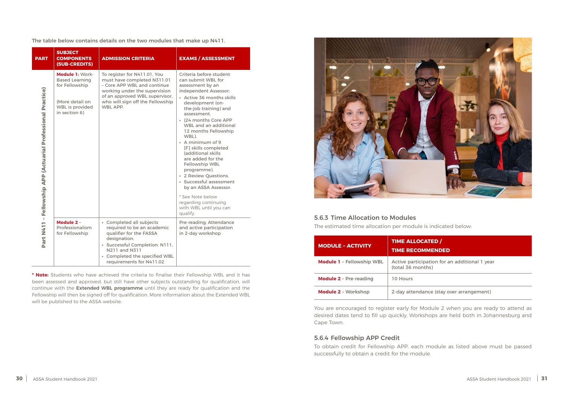#### **TED** / **MENDED**

ation for an additional 1 year hs)

nce (stay over arrangement)

<span id="page-15-0"></span>The table below contains details on the two modules that make up N411.

| <b>PART</b>                                        | <b>SUBJECT</b><br><b>COMPONENTS</b><br>(SUB-CREDITS)                                                                     | <b>ADMISSION CRITERIA</b>                                                                                                                                                                                         | <b>EXAMS / ASSESSMENT</b>                                                                                                                                                                                                                                                                                                                                                                                                                                                                                                                                                  |
|----------------------------------------------------|--------------------------------------------------------------------------------------------------------------------------|-------------------------------------------------------------------------------------------------------------------------------------------------------------------------------------------------------------------|----------------------------------------------------------------------------------------------------------------------------------------------------------------------------------------------------------------------------------------------------------------------------------------------------------------------------------------------------------------------------------------------------------------------------------------------------------------------------------------------------------------------------------------------------------------------------|
| - Fellowship APP (Actuarial Professional Practice) | Module 1: Work-<br><b>Based Learning</b><br>for Fellowship<br>(More detail on<br><b>WBL</b> is provided<br>in section 6) | To register for N411.01, You<br>must have completed N311.01<br>- Core APP WBL and continue<br>working under the supervision<br>of an approved WBL supervisor,<br>who will sign off the Fellowship<br>WBL APP.     | Criteria before student<br>can submit WBL for<br>assessment by an<br>independent Assessor:<br>• Active 36 months skills<br>development (on-<br>the-job training) and<br>assessment.<br>• (24 months Core APP<br><b>WBL and an additional</b><br>12 months Fellowship<br>WBL).<br>• A minimum of 9<br>[F] skills completed<br>(additional skills<br>are added for the<br><b>Fellowship WBL</b><br>programme).<br>• 2 Review Questions.<br>· Successful assessment<br>by an ASSA Assessor.<br>* See Note below<br>regarding continuing<br>with WBL until you can<br>qualify. |
| Part N411                                          | Module 2 -<br>Professionalism<br>for Fellowship                                                                          | • Completed all subjects<br>required to be an academic<br>qualifier for the FASSA<br>designation.<br>· Successful Completion: N111,<br>N211 and N311<br>• Completed the specified WBL<br>requirements for N411.02 | Pre-reading; Attendance<br>and active participation<br>in 2-day workshop                                                                                                                                                                                                                                                                                                                                                                                                                                                                                                   |

**\* Note:** Students who have achieved the criteria to finalise their Fellowship WBL and it has been assessed and approved, but still have other subjects outstanding for qualification, will continue with the **Extended WBL programme** until they are ready for qualification and the Fellowship will then be signed off for qualification. More information about the Extended WBL will be published to the ASSA website.



#### 5.6.3 Time Allocation to Modules

The estimated time allocation per module is indicated below:

| <b>MODULE - ACTIVITY</b>         | <b>TIME ALLOCA</b><br><b>TIME RECOMI</b> |
|----------------------------------|------------------------------------------|
| <b>Module 1 - Fellowship WBL</b> | Active participa<br>(total 36 montl      |
| <b>Module 2 - Pre-reading</b>    | 10 Hours                                 |
| <b>Module 2 - Workshop</b>       | 2-day attendar                           |

You are encouraged to register early for Module 2 when you are ready to attend as desired dates tend to fill up quickly. Workshops are held both in Johannesburg and Cape Town.

#### 5.6.4 Fellowship APP Credit

To obtain credit for Fellowship APP, each module as listed above must be passed successfully to obtain a credit for the module.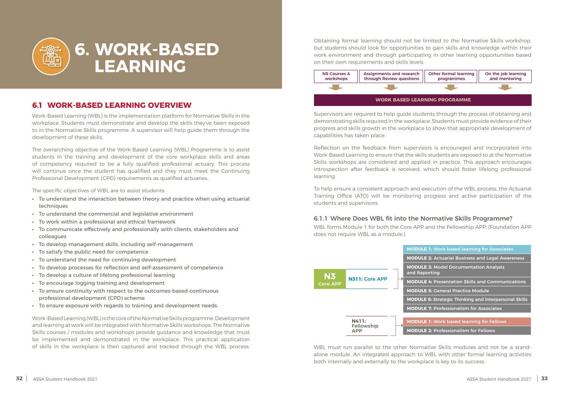### **6.1 WORK-BASED LEARNING OVERVIEW**

Work-Based Learning (WBL) is the implementation platform for Normative Skills in the workplace. Students must demonstrate and develop the skills they've been exposed to in the Normative Skills programme. A supervisor will help guide them through the development of these skills.

The overarching objective of the Work-Based Learning (WBL) Programme is to assist students in the training and development of the core workplace skills and areas of competency required to be a fully qualified professional actuary. This process will continue once the student has qualified and they must meet the Continuing Professional Development (CPD) requirements as qualified actuaries.

The specific objectives of WBL are to assist students:

- **•** To understand the interaction between theory and practice when using actuarial techniques
- **•** To understand the commercial and legislative environment
- **•** To work within a professional and ethical framework
- **•** To communicate effectively and professionally with clients, stakeholders and colleagues
- **•** To develop management skills, including self-management
- **•** To satisfy the public need for competence
- **•** To understand the need for continuing development
- **•** To develop processes for reflection and self-assessment of competence
- **•** To develop a culture of lifelong professional learning
- **•** To encourage logging training and development
- **•** To ensure continuity with respect to the outcomes-based continuous professional development (CPD) scheme
- **•** To ensure exposure with regards to training and development needs.

Work-Based Learning (WBL) is the core of the Normative Skills programme. Development and learning at work will be integrated with Normative Skills workshops. The Normative Skills courses / modules and workshops provide guidance and knowledge that must be implemented and demonstrated in the workplace. This practical application of skills in the workplace is then captured and tracked through the WBL process.

<span id="page-16-0"></span>

## **6. WORK-BASED LEARNING**

Obtaining formal learning should not be limited to the Normative Skills workshop, but students should look for opportunities to gain skills and knowledge within their work environment and through participating in other learning opportunities based on their own requirements and skills levels.

Supervisors are required to help guide students through the process of obtaining and demonstrating skills required in the workplace. Students must provide evidence of their progress and skills growth in the workplace to show that appropriate development of capabilities has taken place.

Reflection on the feedback from supervisors is encouraged and incorporated into Work-Based Learning to ensure that the skills students are exposed to at the Normative Skills workshops are considered and applied in practice. This approach encourages introspection after feedback is received, which should foster lifelong professional learning.

To help ensure a consistent approach and execution of the WBL process, the Actuarial Training Office (ATO) will be monitoring progress and active participation of the students and supervisors.

#### 6.1.1 Where Does WBL fit into the Normative Skills Programme?

WBL forms Module 1 for both the Core APP and the Fellowship APP. (Foundation APP does not require WBL as a module.)



- **MODULE 1:** Work based learning for Associates
- **MODULE 2:** Actuarial Business and Legal Awareness
- **MODULE 3:** Model Documentation Analysis
- **MODULE 4:** Presentation Skills and Communications
- **MODULE 5:** General Practice Module
- **MODULE 6:** Strategic Thinking and Interpersonal Skills
- **MODULE 7:** Professionalism for Associates
- **MODULE 1:** Work based learning for Fellows
- **MODULE 2:** Professionalism for Fellows



WBL must run parallel to the other Normative Skills modules and not be a standalone module. An integrated approach to WBL with other formal learning activities both internally and externally to the workplace is key to its success.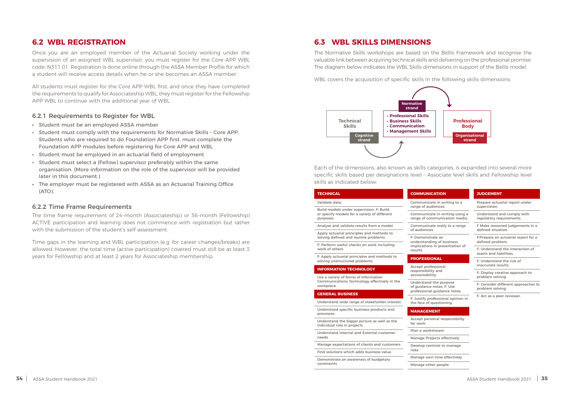#### <span id="page-17-0"></span>**6.2 WBL REGISTRATION**

Once you are an employed member of the Actuarial Society working under the supervision of an assigned WBL supervisor, you must register for the Core APP WBL code: N311.01. Registration is done online through the ASSA Member Profile for which a student will receive access details when he or she becomes an ASSA member.

All students must register for the Core APP WBL first, and once they have completed the requirements to qualify for Associateship WBL, they must register for the Fellowship APP WBL to continue with the additional year of WBL. .

#### 6.2.1 Requirements to Register for WBL

- **•** Student must be an employed ASSA member
- **•** Student must comply with the requirements for Normative Skills Core APP. Students who are required to do Foundation APP first, must complete the Foundation APP modules before registering for Core APP and WBL
- **•** Student must be employed in an actuarial field of employment
- **•** Student must select a (Fellow) supervisor preferably within the same organisation. (More information on the role of the supervisor will be provided later in this document.)
- **•** The employer must be registered with ASSA as an Actuarial Training Office (ATO).

#### 6.2.2 Time Frame Requirements

The time frame requirement of 24-month (Associateship) or 36-month (Fellowship) ACTIVE participation and learning does not commence with registration but rather with the submission of the student's self-assessment.

Time gaps in the learning and WBL participation (e.g. for career changes/breaks) are allowed. However, the total time (active participation) covered must still be at least 3 years for Fellowship and at least 2 years for Associateship membership.

#### **6.3 WBL SKILLS DIMENSIONS**

The Normative Skills workshops are based on the Bellis Framework and recognise the valuable link between acquiring technical skills and delivering on the professional promise. The diagram below indicates the WBL Skills dimensions in support of the Bellis model.

WBL covers the acquisition of specific skills in the following skills dimensions:

Each of the dimensions, also known as skills categories, is expanded into several more specific skills based per designations level – Associate level skills and Fellowship level skills as indicated below:

| <b>TECHNICAL</b>                                                                                      | <b>COMMUN</b>                                                 |  |
|-------------------------------------------------------------------------------------------------------|---------------------------------------------------------------|--|
| Validate data.                                                                                        | Communi                                                       |  |
| Build models under supervision. F: Build<br>or specify models for a variety of different<br>purposes. | range of a<br>Communi<br>range of c                           |  |
| Analyse and validate results from a model.                                                            | Communi                                                       |  |
| Apply actuarial principles and methods to<br>solving defined and routine problems.                    | of audiend<br>F: Demons<br>understan<br>implicatio<br>results |  |
| F: Perform useful checks on work including<br>work of others.                                         |                                                               |  |
| F: Apply actuarial principles and methods to<br>solving unstructured problems.                        | <b>PROFESS</b>                                                |  |
| <b>INFORMATION TECHNOLOGY</b>                                                                         | Accept pro<br>responsibi                                      |  |
| Use a variety of forms of Information<br>Communications Technology effectively in the<br>workplace.   | accountak<br>Understan<br>of guidand                          |  |
| <b>GENERAL BUSINESS</b>                                                                               | profession                                                    |  |
| Understand wide range of stakeholder interest                                                         | F: Justify r<br>the face of                                   |  |
| Understand specific business products and<br>processes                                                | <b>MANAGE</b>                                                 |  |
| Understand the bigger picture as well as the<br>individual role in projects                           | Accept pe<br>for work                                         |  |
| Understand internal and External customer                                                             | Plan a wo                                                     |  |
| needs                                                                                                 | Manage P                                                      |  |
| Manage expectations of clients and customers                                                          | Develop c                                                     |  |
| Find solutions which adds business value                                                              | risks                                                         |  |
| Demonstrate an awareness of budgetary                                                                 | Manage o                                                      |  |
| constraints                                                                                           | $M$ anago of                                                  |  |

#### **ICATION**

cate in writing to a udiences.

icate in writing using a ommunication media.

cate orally to a range ces.

strate an ding of business ins in presentation of

#### **PONAL**

ofessional ility and pility.

d the purpose ce notes. F: Use nal guidance notes.

orofessional opinion in f questioning

#### **MENT**

rsonal responsibility

rkstream

rojects effectively

ontrols to manage

wn time effectively

Manage other people

#### **JUDGEMENT**

Prepare actuarial report under supervision.

Understand and comply with regulatory requirements.

F Make reasoned judgements in a defined situation.

F:Prepare an actuarial report for a defined problem.

F: Understand the interaction of assets and liabilities.

F: Understand the risk of inaccurate results.

F: Display creative approach to problem solving.

F: Consider different approaches to problem solving.

F: Act as a peer reviewer.

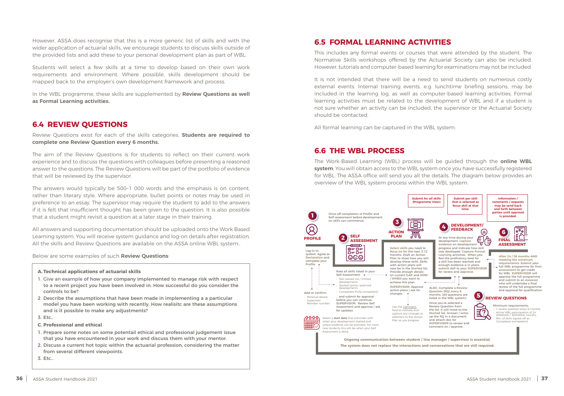<span id="page-18-0"></span>However, ASSA does recognise that this is a more generic list of skills and with the wider application of actuarial skills, we encourage students to discuss skills outside of the provided lists and add these to your personal development plan as part of WBL.

Students will select a few skills at a time to develop based on their own work requirements and environment. Where possible, skills development should be mapped back to the employer's own development framework and process.

In the WBL programme, these skills are supplemented by **Review Questions as well as Formal Learning activities.**

#### **6.4 REVIEW QUESTIONS**

Review Questions exist for each of the skills categories. **Students are required to complete one Review Question every 6 months.**

The aim of the Review Questions is for students to reflect on their current work experience and to discuss the questions with colleagues before presenting a reasoned answer to the questions. The Review Questions will be part of the portfolio of evidence that will be reviewed by the supervisor.

The answers would typically be 500–1 000 words and the emphasis is on content, rather than literary style. Where appropriate, bullet points or notes may be used in preference to an essay. The supervisor may require the student to add to the answers if it is felt that insufficient thought has been given to the question. It is also possible that a student might revisit a question at a later stage in their training.

All answers and supporting documentation should be uploaded onto the Work Based Learning system. You will receive system guidance and log-on details after registration. All the skills and Review Questions are available on the ASSA online WBL system..

Below are some examples of such **Review Questions**:

#### **A. Technical applications of actuarial skills**

- 1. Give an example of how your company implemented to manage risk with respect to a recent project you have been involved in. How successful do you consider the controls to be?
- 2 Describe the assumptions that have been made in implementing a a particular model you have been working with recently. How realisitc are these assumptions and is it possible to make any adjustments?
- 3. Etc..
- **C. Professional and ethical**
- 1. Prepare some notes on some potentail ethical and professional judgement issue that you have encountered in your work and discuss them with your mentor.
- 2. Discuss a current hot topic within the actuarial profession, considering the matter from several different viewpoints.

3. Etc..

**6.5 FORMAL LEARNING ACTIVITIES**

This includes any formal events or courses that were attended by the student. The Normative Skills workshops offered by the Actuarial Society can also be included. However, tutorials and computer-based learning for examinations may not be included.

It is not intended that there will be a need to send students on numerous costly external events. Internal training events, e.g. lunchtime briefing sessions, may be included in the learning log, as well as computer-based learning activities. Formal learning activities must be related to the development of WBL and if a student is not sure whether an activity can be included, the supervisor or the Actuarial Society should be contacted.

All formal learning can be captured in the WBL system.

#### **6.6 THE WBL PROCESS**

The Work-Based Learning (WBL) process will be guided through the **online WBL system**. You will obtain access to the WBL system once you have successfully registered for WBL. The ASSA office will send you all the details. The diagram below provides an overview of the WBL system process within the WBL system.

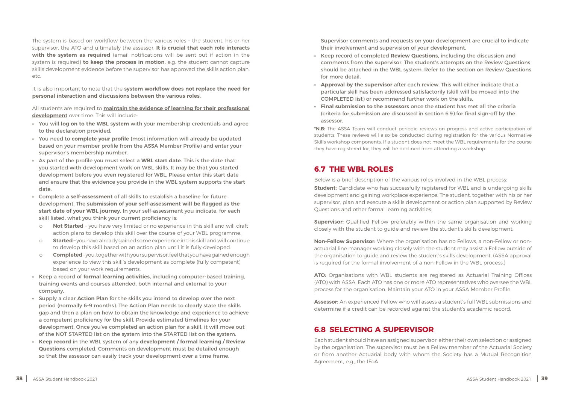<span id="page-19-0"></span>The system is based on workflow between the various roles – the student, his or her supervisor, the ATO and ultimately the assessor. **It is crucial that each role interacts with the system as required** (email notifications will be sent out if action in the system is required) **to keep the process in motion,** e.g. the student cannot capture skills development evidence before the supervisor has approved the skills action plan, etc.

It is also important to note that the **system workflow does not replace the need for personal interaction and discussions between the various roles.**

All students are required to **maintain the evidence of learning for their professional development** over time. This will include:

- **•** You will **log on to the WBL system** with your membership credentials and agree to the declaration provided.
- **•** You need to **complete your profile** (most information will already be updated based on your member profile from the ASSA Member Profile) and enter your supervisor's membership number.
- **•** As part of the profile you must select a **WBL start date**. This is the date that you started with development work on WBL skills. It may be that you started development before you even registered for WBL. Please enter this start date and ensure that the evidence you provide in the WBL system supports the start date.
- **•** Complete **a self-assessment** of all skills to establish a baseline for future development. The **submission of your self-assessment will be flagged as the start date of your WBL journey.** In your self-assessment you indicate, for each skill listed, what you think your current proficiency is:
	- o **Not Started** you have very limited or no experience in this skill and will draft action plans to develop this skill over the course of your WBL programme.
	- o **Started** you have already gained some experience in this skill and will continue to develop this skill based on an action plan until it is fully developed.
	- o **Completed** you, together with your supervisor, feel that you have gained enough experience to view this skill's development as complete (fully competent) based on your work requirements.
- **•** Keep a record of **formal learning activities,** including computer-based training, training events and courses attended, both internal and external to your company.
- **•** Supply a clear **Action Plan** for the skills you intend to develop over the next period (normally 6–9 months). The Action Plan needs to clearly state the skills gap and then a plan on how to obtain the knowledge and experience to achieve a competent proficiency for the skill. Provide estimated timelines for your development. Once you've completed an action plan for a skill, it will move out of the NOT STARTED list on the system into the STARTED list on the system.
- **• Keep record** in the WBL system of any **development / formal learning / Review Questions** completed. Comments on development must be detailed enough so that the assessor can easily track your development over a time frame.

Supervisor comments and requests on your development are crucial to indicate their involvement and supervision of your development.

- **•** Keep record of completed **Review Questions,** including the discussion and comments from the supervisor. The student's attempts on the Review Questions should be attached in the WBL system. Refer to the section on Review Questions for more detail.
- **• Approval by the supervisor** after each review. This will either indicate that a particular skill has been addressed satisfactorily (skill will be moved into the COMPLETED list) or recommend further work on the skills.
- **• Final submission to the assessors** once the student has met all the criteria (criteria for submission are discussed in section 6.9) for final sign-off by the assessor.

**\*N.B:** The ASSA Team will conduct periodic reviews on progress and active participation of students. These reviews will also be conducted during registration for the various Normative Skills workshop components. If a student does not meet the WBL requirements for the course they have registered for, they will be declined from attending a workshop.

#### **6.7 THE WBL ROLES**

Below is a brief description of the various roles involved in the WBL process: **Student:** Candidate who has successfully registered for WBL and is undergoing skills development and gaining workplace experience. The student, together with his or her supervisor, plan and execute a skills development or action plan supported by Review Questions and other formal learning activities.

**Supervisor:** Qualified Fellow preferably within the same organisation and working closely with the student to guide and review the student's skills development.

**Non-Fellow Supervisor:** Where the organisation has no Fellows, a non-Fellow or nonactuarial line manager working closely with the student may assist a Fellow outside of the organisation to guide and review the student's skills development. (ASSA approval is required for the formal involvement of a non-Fellow in the WBL process.)

**ATO:** Organisations with WBL students are registered as Actuarial Training Offices (ATO) with ASSA. Each ATO has one or more ATO representatives who oversee the WBL process for the organisation. Maintain your ATO in your ASSA Member Profile.

**Assessor:** An experienced Fellow who will assess a student's full WBL submissions and determine if a credit can be recorded against the student's academic record.

## **6.8 SELECTING A SUPERVISOR**

Each student should have an assigned supervisor, either their own selection or assigned by the organisation. The supervisor must be a Fellow member of the Actuarial Society or from another Actuarial body with whom the Society has a Mutual Recognition Agreement, e.g., the IFoA.

- 
- 
- 
- 
- 
- 
-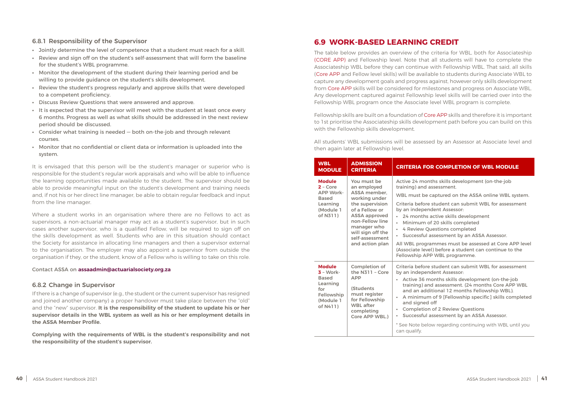#### <span id="page-20-0"></span>6.8.1 Responsibility of the Supervisor

- **•** Jointly determine the level of competence that a student must reach for a skill.
- **•** Review and sign off on the student's self-assessment that will form the baseline for the student's WBL programme.
- **•** Monitor the development of the student during their learning period and be willing to provide guidance on the student's skills development.
- **•** Review the student's progress regularly and approve skills that were developed to a competent proficiency.
- **•** Discuss Review Questions that were answered and approve.
- **•** It is expected that the supervisor will meet with the student at least once every 6 months. Progress as well as what skills should be addressed in the next review period should be discussed.
- **•** Consider what training is needed both on-the-job and through relevant courses.
- **•** Monitor that no confidential or client data or information is uploaded into the system.

It is envisaged that this person will be the student's manager or superior who is responsible for the student's regular work appraisals and who will be able to influence the learning opportunities made available to the student. The supervisor should be able to provide meaningful input on the student's development and training needs and, if not his or her direct line manager, be able to obtain regular feedback and input from the line manager.

Where a student works in an organisation where there are no Fellows to act as supervisors, a non-actuarial manager may act as a student's supervisor, but in such cases another supervisor, who is a qualified Fellow, will be required to sign off on the skills development as well. Students who are in this situation should contact the Society for assistance in allocating line managers and then a supervisor external to the organisation. The employer may also appoint a supervisor from outside the organisation if they, or the student, know of a Fellow who is willing to take on this role.

#### Contact ASSA on **assaadmin@actuarialsociety.org.za**

#### 6.8.2 Change in Supervisor

If there is a change of supervisor (e.g., the student or the current supervisor has resigned and joined another company) a proper handover must take place between the "old" and the "new" supervisor. **It is the responsibility of the student to update his or her supervisor details in the WBL system as well as his or her employment details in the ASSA Member Profile.**

**Complying with the requirements of WBL is the student's responsibility and not the responsibility of the student's supervisor.**

#### **6.9 WORK-BASED LEARNING CREDIT**

The table below provides an overview of the criteria for WBL, both for Associateship (CORE APP) and Fellowship level. Note that all students will have to complete the Associateship WBL before they can continue with Fellowship WBL. That said, all skills (Core APP and Fellow level skills) will be available to students during Associate WBL to capture any development goals and progress against, however only skills development from Core APP skills will be considered for milestones and progress on Associate WBL. Any development captured against Fellowship level skills will be carried over into the Fellowship WBL program once the Associate level WBL program is complete.

Fellowship skills are built on a foundation of Core APP skills and therefore it is important to 1st prioritise the Associateship skills development path before you can build on this with the Fellowship skills development.

All students' WBL submissions will be assessed by an Assessor at Associate level and then again later at Fellowship level.

| <b>WBL</b><br><b>MODULE</b>                                                                             | <b>ADMISSION</b><br><b>CRITERIA</b>                                                                                                                                                                                          | <b>CRITERIA F</b>                                                                                                                                                                                                      |
|---------------------------------------------------------------------------------------------------------|------------------------------------------------------------------------------------------------------------------------------------------------------------------------------------------------------------------------------|------------------------------------------------------------------------------------------------------------------------------------------------------------------------------------------------------------------------|
| <b>Module</b><br>$2 - Core$<br><b>APP Work-</b><br><b>Based</b><br>Learning<br>(Module 1<br>of N311)    | You must be<br>an employed<br><b>ASSA member,</b><br>working under<br>the supervision<br>of a Fellow or<br><b>ASSA approved</b><br>non-Fellow line<br>manager who<br>will sign off the<br>self-assessment<br>and action plan | Active 24 mo<br>training) and<br><b>WBL must be</b><br>Criteria befor<br>by an indepe<br>24 months<br>Minimum<br>ò.<br>4 Review C<br>$\bullet$<br>Successful<br>All WBL prog<br>(Associate lev<br><b>Fellowship Al</b> |
| <b>Module</b><br>$3 - Work -$<br><b>Based</b><br>Learning<br>for<br>Fellowship<br>(Module 1<br>of N411) | <b>Completion of</b><br>the N311 - Core<br><b>APP</b><br><b>(Students</b><br>must register<br>for Fellowship<br><b>WBL</b> after<br>completing<br>Core APP WBL.)                                                             | Criteria befor<br>by an indepe<br>Active 36 r<br>training) a<br>and an ad<br>A minimul<br>and signed<br>Completio<br>$\bullet$<br>Successful<br>* See Note be<br>can qualify.                                          |

#### *COMPLETION OF WBL MODULE*

- onths skills development (on-the-job assessment.
- captured on the ASSA online WBL system.
- re student can submit WBL for assessment **ndent Assessor:**
- *<u><b>s* active skills development</u>
- **•** of 20 skills completed
- **Questions completed**
- assessment by an ASSA Assessor.
- Irammes must be assessed at Core APP level (Associated) before a student can continue to the PP WBL programme.
- re student can submit WBL for assessment ndent Assessor:
- **•** Active 36 months skills development (on-the-job Ind assessment. (24 months Core APP WBL
- ditional 12 months Fellowship WBL).
- **m** of 9 [Fellowship specific] skills completed d off
- **Philtiph** Ouestions
- assessment by an ASSA Assessor.

low regarding continuing with WBL until you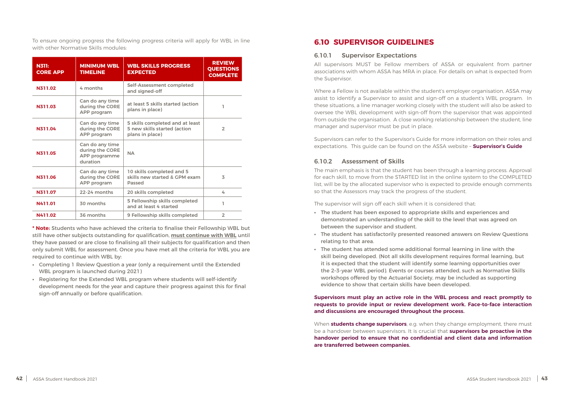<span id="page-21-0"></span>To ensure ongoing progress the following progress criteria will apply for WBL in line with other Normative Skills modules:

| <b>N311:</b><br><b>CORE APP</b> | <b>MINIMUM WBL</b><br><b>TIMELINE</b>                           | <b>WBL SKILLS PROGRESS</b><br><b>EXPECTED</b>                                      | <b>REVIEW</b><br><b>QUESTIONS</b><br><b>COMPLETE</b> |
|---------------------------------|-----------------------------------------------------------------|------------------------------------------------------------------------------------|------------------------------------------------------|
| N311.02                         | 4 months                                                        | Self-Assessment completed<br>and signed-off                                        |                                                      |
| N311.03                         | Can do any time<br>during the CORE<br>APP program               | at least 5 skills started (action<br>plans in place)                               |                                                      |
| N311.04                         | Can do any time<br>during the CORE<br>APP program               | 5 skills completed and at least<br>5 new skills started (action<br>plans in place) | $\overline{2}$                                       |
| N311.05                         | Can do any time<br>during the CORE<br>APP programme<br>duration | <b>NA</b>                                                                          |                                                      |
| N311.06                         | Can do any time<br>during the CORE<br>APP program               | 10 skills completed and 5<br>skills new started & GPM exam<br>Passed               | $\overline{5}$                                       |
| N311.07                         | 22-24 months                                                    | 20 skills completed                                                                | 4                                                    |
| <b>N411.01</b>                  | 30 months                                                       | 5 Fellowship skills completed<br>and at least 4 started                            | ı                                                    |
| N411.02                         | 36 months                                                       | 9 Fellowship skills completed                                                      | $\overline{2}$                                       |

**\* Note:** Students who have achieved the criteria to finalise their Fellowship WBL but still have other subjects outstanding for qualification, **must continue with WBL** until they have passed or are close to finalising all their subjects for qualification and then only submit WBL for assessment. Once you have met all the criteria for WBL you are required to continue with WBL by:

- **•** Completing 1 Review Question a year (only a requirement until the Extended WBL program is launched during 2021)
- **•** Registering for the Extended WBL program where students will self-identify development needs for the year and capture their progress against this for final sign-off annually or before qualification.

#### **6.10 SUPERVISOR GUIDELINES**

#### 6.10.1 Supervisor Expectations

All supervisors MUST be Fellow members of ASSA or equivalent from partner associations with whom ASSA has MRA in place. For details on what is expected from the Supervisor.

Where a Fellow is not available within the student's employer organisation, ASSA may assist to identify a Supervisor to assist and sign-off on a student's WBL program. In these situations, a line manager working closely with the student will also be asked to oversee the WBL development with sign-off from the supervisor that was appointed from outside the organisation. A close working relationship between the student, line manager and supervisor must be put in place.

Supervisors can refer to the Supervisor's Guide for more information on their roles and expectations. This guide can be found on the ASSA website – **[Supervisor's Guide](https://rise.articulate.com/share/98FuKp7ik-tcUGiFYDmgjDHKsOgUQF9Y#/)**

#### 6.10.2 Assessment of Skills

The main emphasis is that the student has been through a learning process. Approval for each skill, to move from the STARTED list in the online system to the COMPLETED list, will be by the allocated supervisor who is expected to provide enough comments so that the Assessors may track the progress of the student.

The supervisor will sign off each skill when it is considered that:

- **•** The student has been exposed to appropriate skills and experiences and demonstrated an understanding of the skill to the level that was agreed on between the supervisor and student.
- **•** The student has satisfactorily presented reasoned answers on Review Questions relating to that area.
- **•** The student has attended some additional formal learning in line with the skill being developed. (Not all skills development requires formal learning, but it is expected that the student will identify some learning opportunities over the 2–3-year WBL period). Events or courses attended, such as Normative Skills workshops offered by the Actuarial Society, may be included as supporting evidence to show that certain skills have been developed.

#### **Supervisors must play an active role in the WBL process and react promptly to requests to provide input or review development work. Face-to-face interaction and discussions are encouraged throughout the process.**

When **students change supervisors**, e.g. when they change employment, there must be a handover between supervisors. It is crucial that **supervisors be proactive in the handover period to ensure that no confidential and client data and information are transferred between companies.**

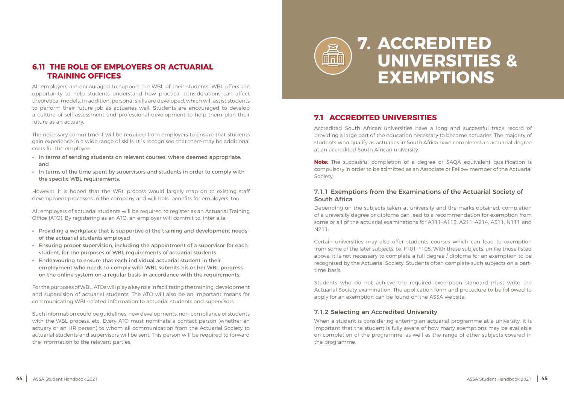### **7.1 ACCREDITED UNIVERSITIES**

Accredited South African universities have a long and successful track record of providing a large part of the education necessary to become actuaries. The majority of students who qualify as actuaries in South Africa have completed an actuarial degree at an accredited South African university.

**Note:** The successful completion of a degree or SAQA equivalent qualification is compulsory in order to be admitted as an Associate or Fellow member of the Actuarial Society.

#### 7.1.1 Exemptions from the Examinations of the Actuarial Society of South Africa

Depending on the subjects taken at university and the marks obtained, completion of a university degree or diploma can lead to a recommendation for exemption from some or all of the actuarial examinations for A111–A113, A211–A214, A311, N111 and N211.

Certain universities may also offer students courses which can lead to exemption from some of the later subjects, i.e. F101–F105. With these subjects, unlike those listed above, it is not necessary to complete a full degree / diploma for an exemption to be recognised by the Actuarial Society. Students often complete such subjects on a parttime basis.

Students who do not achieve the required exemption standard must write the Actuarial Society examination. The application form and procedure to be followed to apply for an exemption can be found on the ASSA website.

#### 7.1.2 Selecting an Accredited University

When a student is considering entering an actuarial programme at a university, it is important that the student is fully aware of how many exemptions may be available on completion of the programme, as well as the range of other subjects covered in the programme.



## **UNIVERSITIES & EXEMPTIONS**

#### <span id="page-22-0"></span>**6.11 THE ROLE OF EMPLOYERS OR ACTUARIAL TRAINING OFFICES**

All employers are encouraged to support the WBL of their students. WBL offers the opportunity to help students understand how practical considerations can affect theoretical models. In addition, personal skills are developed, which will assist students to perform their future job as actuaries well. Students are encouraged to develop a culture of self-assessment and professional development to help them plan their future as an actuary.

The necessary commitment will be required from employers to ensure that students gain experience in a wide range of skills. It is recognised that there may be additional costs for the employer:

- **•** In terms of sending students on relevant courses, where deemed appropriate; and
- **•** In terms of the time spent by supervisors and students in order to comply with the specific WBL requirements.

However, it is hoped that the WBL process would largely map on to existing staff development processes in the company and will hold benefits for employers, too.

All employers of actuarial students will be required to register as an Actuarial Training Office (ATO). By registering as an ATO, an employer will commit to, inter alia:

- **•** Providing a workplace that is supportive of the training and development needs of the actuarial students employed
- **•** Ensuring proper supervision, including the appointment of a supervisor for each student, for the purposes of WBL requirements of actuarial students
- **•** Endeavouring to ensure that each individual actuarial student in their employment who needs to comply with WBL submits his or her WBL progress on the online system on a regular basis in accordance with the requirements.

For the purposes of WBL, ATOs will play a key role in facilitating the training, development and supervision of actuarial students. The ATO will also be an important means for communicating WBL-related information to actuarial students and supervisors.

Such information could be guidelines, new developments, non-compliance of students with the WBL process, etc. Every ATO must nominate a contact person (whether an actuary or an HR person) to whom all communication from the Actuarial Society to actuarial students and supervisors will be sent. This person will be required to forward the information to the relevant parties.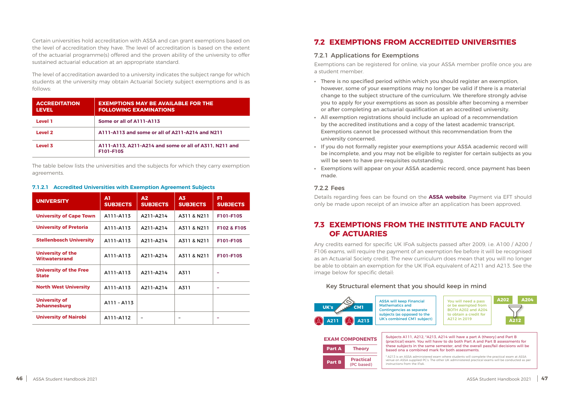<span id="page-23-0"></span>Certain universities hold accreditation with ASSA and can grant exemptions based on the level of accreditation they have. The level of accreditation is based on the extent of the actuarial programme(s) offered and the proven ability of the university to offer sustained actuarial education at an appropriate standard.

The level of accreditation awarded to a university indicates the subject range for which students at the university may obtain Actuarial Society subject exemptions and is as follows:

| <b>ACCREDITATION</b><br><b>LEVEL</b> | <b>EXEMPTIONS MAY BE AVAILABLE FOR THE</b><br><b>FOLLOWING EXAMINATIONS</b> |  |
|--------------------------------------|-----------------------------------------------------------------------------|--|
| <b>Level 1</b>                       | Some or all of A111-A113                                                    |  |
| Level 2                              | A111-A113 and some or all of A211-A214 and N211                             |  |
| Level 3                              | A111-A113, A211-A214 and some or all of A311, N211 and<br>F101-F105         |  |

The table below lists the universities and the subjects for which they carry exemption agreements.

#### **7.1.2.1 Accredited Universities with Exemption Agreement Subjects**

| <b>UNIVERSITY</b>                                | A1<br><b>SUBJECTS</b> | $\mathbf{A2}$<br><b>SUBJECTS</b> | A <sub>3</sub><br><b>SUBJECTS</b> | Fl<br><b>SUBJECTS</b> |
|--------------------------------------------------|-----------------------|----------------------------------|-----------------------------------|-----------------------|
| <b>University of Cape Town</b>                   | A111-A113             | A211-A214                        | A311 & N211                       | F101-F105             |
| <b>University of Pretoria</b>                    | A111-A113             | A211-A214                        | A311 & N211                       | F102 & F105           |
| <b>Stellenbosch University</b>                   | A111-A113             | A211-A214                        | A311 & N211                       | F101-F105             |
| <b>University of the</b><br><b>Witwatersrand</b> | A111-A113             | A211-A214                        | A311 & N211                       | F101-F105             |
| <b>University of the Free</b><br><b>State</b>    | A111-A113             | A211-A214                        | A311                              |                       |
| <b>North West University</b>                     | A111-A113             | A211-A214                        | A311                              |                       |
| <b>University of</b><br><b>Johannesburg</b>      | A111 - A113           |                                  |                                   |                       |
| <b>University of Nairobi</b>                     | A111-A112             |                                  |                                   |                       |

### **7.2 EXEMPTIONS FROM ACCREDITED UNIVERSITIES**

#### 7.2.1 Applications for Exemptions

Exemptions can be registered for online, via your ASSA member profile once you are a student member.

- **•** There is no specified period within which you should register an exemption, however, some of your exemptions may no longer be valid if there is a material change to the subject structure of the curriculum. We therefore strongly advise you to apply for your exemptions as soon as possible after becoming a member or after completing an actuarial qualification at an accredited university.
- **•** All exemption registrations should include an upload of a recommendation by the accredited institutions and a copy of the latest academic transcript. Exemptions cannot be processed without this recommendation from the university concerned.
- **•** If you do not formally register your exemptions your ASSA academic record will be incomplete, and you may not be eligible to register for certain subjects as you will be seen to have pre-requisites outstanding.
- **•** Exemptions will appear on your ASSA academic record, once payment has been made.

#### 7.2.2 Fees

Details regarding fees can be found on the **[ASSA website](https://www.actuarialsociety.org.za)**. Payment via EFT should only be made upon receipt of an invoice after an application has been approved.

#### **7.3 EXEMPTIONS FROM THE INSTITUTE AND FACULTY OF ACTUARIES**

Any credits earned for specific UK IFoA subjects passed after 2009, i.e. A100 / A200 / F106 exams, will require the payment of an exemption fee before it will be recognised as an Actuarial Society credit. The new curriculum does mean that you will no longer be able to obtain an exemption for the UK IFoA equivalent of A211 and A213. See the image below for specific detail:

#### Key Structural element that you should keep in mind





cts A111, A212, \*A213, A214 will have a part A (theory) and Part B tical) exam. You will havw to do both Part A and Part B assessments for subjects in the same semester, and the overall pass/fail decisions will be I ona a combined mark for both assessments.

| <b>EXAM COMPONENTS</b> | Subjed<br>(practi              |                                   |
|------------------------|--------------------------------|-----------------------------------|
| <b>Part A</b>          | <b>Theory</b>                  | these:<br>based                   |
| <b>Part B</b>          | <b>Practical</b><br>(PC based) | * A213 is<br>venue o<br>instructi |

is an ASSA administered exam where students will complete the practical exam at ASSA on ASSA supplied PC's. The other UK administered practical exams will be conducted as per tions from the IFoA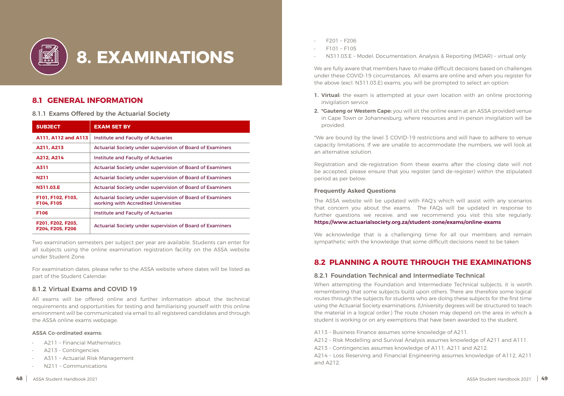#### **8.1 GENERAL INFORMATION**

8.1.1 Exams Offered by the Actuarial Society

| <b>SUBJECT</b>                        | <b>EXAM SET BY</b>                                                                                       |
|---------------------------------------|----------------------------------------------------------------------------------------------------------|
| A111, A112 and A113                   | <b>Institute and Faculty of Actuaries</b>                                                                |
| A211, A213                            | <b>Actuarial Society under supervision of Board of Examiners</b>                                         |
| A212, A214                            | Institute and Faculty of Actuaries                                                                       |
| <b>A311</b>                           | Actuarial Society under supervision of Board of Examiners                                                |
| <b>N211</b>                           | <b>Actuarial Society under supervision of Board of Examiners</b>                                         |
| N311.03.E                             | Actuarial Society under supervision of Board of Examiners                                                |
| F101, F102, F103,<br>F104, F105       | <b>Actuarial Society under supervision of Board of Examiners</b><br>working with Accredited Universities |
| <b>F106</b>                           | <b>Institute and Faculty of Actuaries</b>                                                                |
| F201, F202, F203,<br>F204. F205. F206 | <b>Actuarial Society under supervision of Board of Examiners</b>                                         |

Two examination semesters per subject per year are available. Students can enter for all subjects using the online examination registration facility on the ASSA website under Student Zone.

For examination dates, please refer to the ASSA website where dates will be listed as part of the Student Calendar.

#### 8.1.2 Virtual Exams and COVID 19

All exams will be offered online and further information about the technical requirements and opportunities for testing and familiarising yourself with this online environment will be communicated via email to all registered candidates and through the ASSA online exams webpage.

#### ASSA Co-ordinated exams:

- A211 Financial Mathematics
- A213 Contingencies
- A311 Actuarial Risk Management
- N211 Communications

<span id="page-24-0"></span>

- F201 F206
- F101 F105
- N311.03.E Model, Documentation, Analysis & Reporting (MDAR) virtual only

We are fully aware that members have to make difficult decisions based on challenges under these COVID-19 circumstances. All exams are online and when you register for the above (excl. N311.03.E) exams, you will be prompted to select an option:

- **1. Virtual:** the exam is attempted at your own location with an online proctoring invigilation service
- **2. \*Gauteng or Western Cape:** you will sit the online exam at an ASSA provided venue provided.

in Cape Town or Johannesburg, where resources and in-person invigilation will be

\*We are bound by the level 3 COVID-19 restrictions and will have to adhere to venue capacity limitations. If we are unable to accommodate the numbers, we will look at an alternative solution.

Registration and de-registration from these exams after the closing date will not be accepted, please ensure that you register (and de-register) within the stipulated period as per below:

#### **Frequently Asked Questions**

The ASSA website will be updated with FAQ's which will assist with any scenarios that concern you about the exams. The FAQs will be updated in response to further questions we receive, and we recommend you visit this site regularly. **<https://www.actuarialsociety.org.za/student-zone/exams/online-exams>**

We acknowledge that is a challenging time for all our members and remain sympathetic with the knowledge that some difficult decisions need to be taken

### **8.2 PLANNING A ROUTE THROUGH THE EXAMINATIONS**

#### 8.2.1 Foundation Technical and Intermediate Technical

When attempting the Foundation and Intermediate Technical subjects, it is worth remembering that some subjects build upon others. There are therefore some logical routes through the subjects for students who are doing these subjects for the first time using the Actuarial Society examinations. (University degrees will be structured to teach the material in a logical order.) The route chosen may depend on the area in which a student is working or on any exemptions that have been awarded to the student.

A113 – Business Finance assumes some knowledge of A211. A212 – Risk Modelling and Survival Analysis assumes knowledge of A211 and A111. A213 – Contingencies assumes knowledge of A111, A211 and A212. A214 – Loss Reserving and Financial Engineering assumes knowledge of A112, A211 and A212.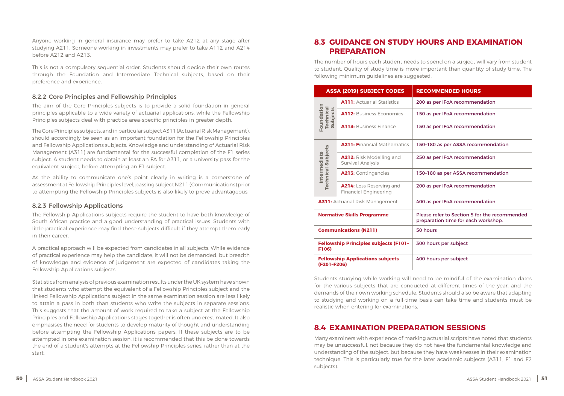<span id="page-25-0"></span>Anyone working in general insurance may prefer to take A212 at any stage after studying A211. Someone working in investments may prefer to take A112 and A214 before A212 and A213.

This is not a compulsory sequential order. Students should decide their own routes through the Foundation and Intermediate Technical subjects, based on their preference and experience.

#### 8.2.2 Core Principles and Fellowship Principles

The aim of the Core Principles subjects is to provide a solid foundation in general principles applicable to a wide variety of actuarial applications, while the Fellowship Principles subjects deal with practice area-specific principles in greater depth.

The Core Principles subjects, and in particular subject A311 (Actuarial Risk Management), should accordingly be seen as an important foundation for the Fellowship Principles and Fellowship Applications subjects. Knowledge and understanding of Actuarial Risk Management (A311) are fundamental for the successful completion of the F1 series subject. A student needs to obtain at least an FA for A311, or a university pass for the equivalent subject, before attempting an F1 subject.

As the ability to communicate one's point clearly in writing is a cornerstone of assessment at Fellowship Principles level, passing subject N211 (Communications) prior to attempting the Fellowship Principles subjects is also likely to prove advantageous.

#### 8.2.3 Fellowship Applications

The Fellowship Applications subjects require the student to have both knowledge of South African practice and a good understanding of practical issues. Students with little practical experience may find these subjects difficult if they attempt them early in their career.

A practical approach will be expected from candidates in all subjects. While evidence of practical experience may help the candidate, it will not be demanded, but breadth of knowledge and evidence of judgement are expected of candidates taking the Fellowship Applications subjects.

Statistics from analysis of previous examination results under the UK system have shown that students who attempt the equivalent of a Fellowship Principles subject and the linked Fellowship Applications subject in the same examination session are less likely to attain a pass in both than students who write the subjects in separate sessions. This suggests that the amount of work required to take a subject at the Fellowship Principles and Fellowship Applications stages together is often underestimated. It also emphasises the need for students to develop maturity of thought and understanding before attempting the Fellowship Applications papers. If these subjects are to be attempted in one examination session, it is recommended that this be done towards the end of a student's attempts at the Fellowship Principles series, rather than at the start.

#### **8.3 GUIDANCE ON STUDY HOURS AND EXAMINATION PREPARATION**

The number of hours each student needs to spend on a subject will vary from student to student. Quality of study time is more important than quantity of study time. The following minimum guidelines are suggested:

|                                                       | <b>ASSA (2019) SUBJECT CODES</b>                         | <b>RECOMMENDED HOURS</b>                                                             |
|-------------------------------------------------------|----------------------------------------------------------|--------------------------------------------------------------------------------------|
|                                                       | <b>A111: Actuarial Statistics</b>                        | 200 as per IFoA recommendation                                                       |
| Foundation<br><b>Technical</b><br>Subjects            | <b>A112: Business Economics</b>                          | 150 as per IFoA recommendation                                                       |
|                                                       | A113: Business Finance                                   | 150 as per IFoA recommendation                                                       |
|                                                       | <b>A211: Financial Mathematics</b>                       | 150-180 as per ASSA recommendation                                                   |
| <b>Technical Subjects</b><br>Intermediate             | A212: Risk Modelling and<br>Survival Analysis            | 250 as per IFoA recommendation                                                       |
|                                                       | A213: Contingencies                                      | 150-180 as per ASSA recommendation                                                   |
|                                                       | A214: Loss Reserving and<br><b>Financial Engineering</b> | 200 as per IFoA recommendation                                                       |
|                                                       | <b>A311:</b> Actuarial Risk Management                   | 400 as per IFoA recommendation                                                       |
|                                                       | <b>Normative Skills Programme</b>                        | Please refer to Section 5 for the recommended<br>preparation time for each workshop. |
| <b>Communications (N211)</b>                          |                                                          | 50 hours                                                                             |
| <b>Fellowship Principles subjects (F101-</b><br>F106) |                                                          | 300 hours per subject                                                                |
| (F201-F206)                                           | <b>Fellowship Applications subjects</b>                  | 400 hours per subject                                                                |

| <b>RECOMMENDED HOURS</b>                                                             |
|--------------------------------------------------------------------------------------|
| 200 as per IFoA recommendation                                                       |
| 150 as per IFoA recommendation                                                       |
| 150 as per IFoA recommendation                                                       |
| 150-180 as per ASSA recommendation                                                   |
| 250 as per IFoA recommendation                                                       |
| 150-180 as per ASSA recommendation                                                   |
| 200 as per IFoA recommendation                                                       |
| 400 as per IFoA recommendation                                                       |
| Please refer to Section 5 for the recommended<br>preparation time for each workshop. |
| 50 hours                                                                             |
| 300 hours per subject                                                                |
| 400 hours per subject                                                                |

Students studying while working will need to be mindful of the examination dates for the various subjects that are conducted at different times of the year, and the demands of their own working schedule. Students should also be aware that adapting to studying and working on a full-time basis can take time and students must be realistic when entering for examinations.

#### **8.4 EXAMINATION PREPARATION SESSIONS**

Many examiners with experience of marking actuarial scripts have noted that students may be unsuccessful, not because they do not have the fundamental knowledge and understanding of the subject, but because they have weaknesses in their examination technique. This is particularly true for the later academic subjects (A311, F1 and F2 subjects).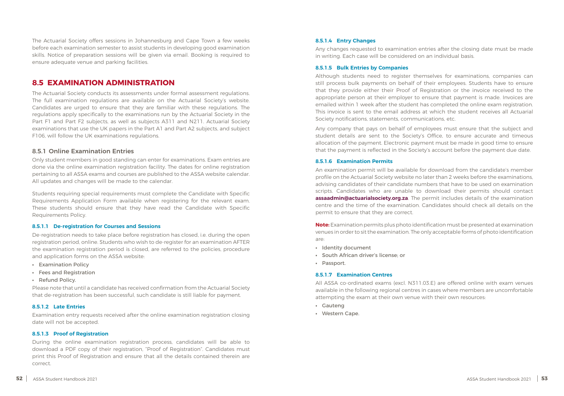<span id="page-26-0"></span>The Actuarial Society offers sessions in Johannesburg and Cape Town a few weeks before each examination semester to assist students in developing good examination skills. Notice of preparation sessions will be given via email. Booking is required to ensure adequate venue and parking facilities.

#### **8.5 EXAMINATION ADMINISTRATION**

The Actuarial Society conducts its assessments under formal assessment regulations. The full examination regulations are available on the Actuarial Society's website. Candidates are urged to ensure that they are familiar with these regulations. The regulations apply specifically to the examinations run by the Actuarial Society in the Part F1 and Part F2 subjects, as well as subjects A311 and N211. Actuarial Society examinations that use the UK papers in the Part A1 and Part A2 subjects, and subject F106, will follow the UK examinations regulations.

#### 8.5.1 Online Examination Entries

Only student members in good standing can enter for examinations. Exam entries are done via the online examination registration facility. The dates for online registration pertaining to all ASSA exams and courses are published to the ASSA website calendar. All updates and changes will be made to the calendar.

Students requiring special requirements must complete the Candidate with Specific Requirements Application Form available when registering for the relevant exam. These students should ensure that they have read the Candidate with Specific Requirements Policy.

#### **8.5.1.1 De-registration for Courses and Sessions**

De-registration needs to take place before registration has closed, i.e. during the open registration period, online. Students who wish to de-register for an examination AFTER the examination registration period is closed, are referred to the policies, procedure and application forms on the ASSA website:

- **•** Examination Policy
- **•** Fees and Registration
- **•** Refund Policy.

Please note that until a candidate has received confirmation from the Actuarial Society that de-registration has been successful, such candidate is still liable for payment.

#### **8.5.1.2 Late Entries**

Examination entry requests received after the online examination registration closing date will not be accepted.

#### **8.5.1.3 Proof of Registration**

During the online examination registration process, candidates will be able to download a PDF copy of their registration, "Proof of Registration". Candidates must print this Proof of Registration and ensure that all the details contained therein are correct.

#### **8.5.1.4 Entry Changes**

Any changes requested to examination entries after the closing date must be made in writing. Each case will be considered on an individual basis.

#### **8.5.1.5 Bulk Entries by Companies**

Although students need to register themselves for examinations, companies can still process bulk payments on behalf of their employees. Students have to ensure that they provide either their Proof of Registration or the invoice received to the appropriate person at their employer to ensure that payment is made. Invoices are emailed within 1 week after the student has completed the online exam registration. This invoice is sent to the email address at which the student receives all Actuarial Society notifications, statements, communications, etc.

Any company that pays on behalf of employees must ensure that the subject and student details are sent to the Society's Office, to ensure accurate and timeous allocation of the payment. Electronic payment must be made in good time to ensure that the payment is reflected in the Society's account before the payment due date.

#### **8.5.1.6 Examination Permits**

An examination permit will be available for download from the candidate's member profile on the Actuarial Society website no later than 2 weeks before the examinations, advising candidates of their candidate numbers that have to be used on examination scripts. Candidates who are unable to download their permits should contact **[assaadmin@actuarialsociety.org.za](mailto:assaadmin%40actuarialsociety.org.za?subject=)**. The permit includes details of the examination centre and the time of the examination. Candidates should check all details on the permit to ensure that they are correct.

**Note:** Examination permits plus photo identification must be presented at examination venues in order to sit the examination. The only acceptable forms of photo identification are:

- **•** Identity document
- **•** South African driver's license; or
- **•** Passport.

#### **8.5.1.7 Examination Centres**

All ASSA co-ordinated exams (excl. N311.03.E) are offered online with exam venues available in the following regional centres in cases where members are uncomfortable attempting the exam at their own venue with their own resources:

- **•** Gauteng
- **•** Western Cape.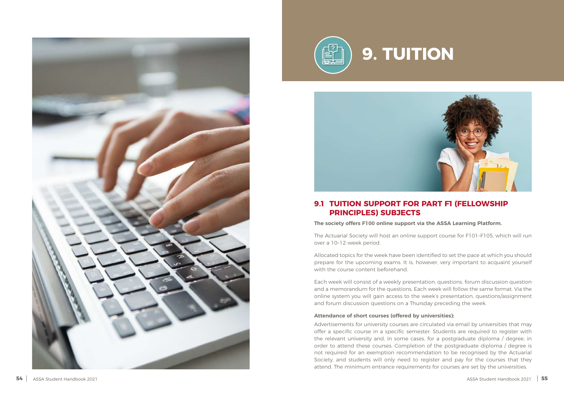<span id="page-27-0"></span>





### **9.1 TUITION SUPPORT FOR PART F1 (FELLOWSHIP PRINCIPLES) SUBJECTS**

#### **The society offers F100 online support via the ASSA Learning Platform.**

The Actuarial Society will host an online support course for F101–F105, which will run over a 10–12-week period.

Allocated topics for the week have been identified to set the pace at which you should prepare for the upcoming exams. It is, however, very important to acquaint yourself with the course content beforehand.

Each week will consist of a weekly presentation, questions, forum discussion question and a memorandum for the questions. Each week will follow the same format. Via the online system you will gain access to the week's presentation, questions/assignment and forum discussion questions on a Thursday preceding the week.

#### **Attendance of short courses (offered by universities):**

Advertisements for university courses are circulated via email by universities that may offer a specific course in a specific semester. Students are required to register with the relevant university and, in some cases, for a postgraduate diploma / degree, in order to attend these courses. Completion of the postgraduate diploma / degree is not required for an exemption recommendation to be recognised by the Actuarial Society, and students will only need to register and pay for the courses that they attend. The minimum entrance requirements for courses are set by the universities.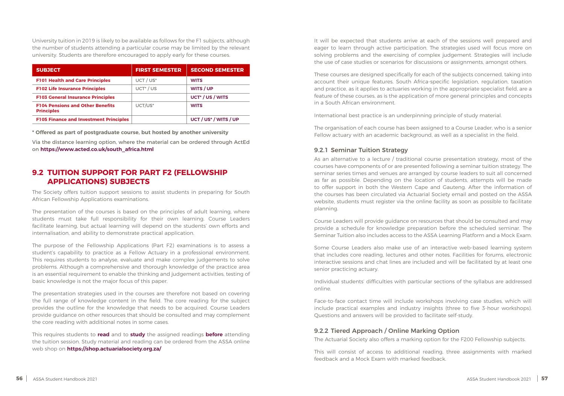<span id="page-28-0"></span>University tuition in 2019 is likely to be available as follows for the F1 subjects, although the number of students attending a particular course may be limited by the relevant university. Students are therefore encouraged to apply early for these courses.

| <b>SUBJECT</b>                                               | <b>FIRST SEMESTER</b> | <b>SECOND SEMESTER</b>            |
|--------------------------------------------------------------|-----------------------|-----------------------------------|
| <b>F101 Health and Care Principles</b>                       | UCT / US*             | <b>WITS</b>                       |
| <b>F102 Life Insurance Principles</b>                        | UCT <sup>*</sup> / US | WITS / UP                         |
| <b>F103 General Insurance Principles</b>                     |                       | UCT <sup>*</sup> / US / WITS      |
| <b>F104 Pensions and Other Benefits</b><br><b>Principles</b> | UCT/US*               | <b>WITS</b>                       |
| <b>F105 Finance and Investment Principles</b>                |                       | UCT / US <sup>*</sup> / WITS / UP |

**\* Offered as part of postgraduate course, but hosted by another university**

Via the distance learning option, where the material can be ordered through ActEd on **https://www.acted.co.uk/south\_africa.html** 

#### **9.2 TUITION SUPPORT FOR PART F2 (FELLOWSHIP APPLICATIONS) SUBJECTS**

The Society offers tuition support sessions to assist students in preparing for South African Fellowship Applications examinations.

The presentation of the courses is based on the principles of adult learning, where students must take full responsibility for their own learning. Course Leaders facilitate learning, but actual learning will depend on the students' own efforts and internalisation, and ability to demonstrate practical application.

The purpose of the Fellowship Applications (Part F2) examinations is to assess a student's capability to practice as a Fellow Actuary in a professional environment. This requires students to analyse, evaluate and make complex judgements to solve problems. Although a comprehensive and thorough knowledge of the practice area is an essential requirement to enable the thinking and judgement activities, testing of basic knowledge is not the major focus of this paper.

The presentation strategies used in the courses are therefore not based on covering the full range of knowledge content in the field. The core reading for the subject provides the outline for the knowledge that needs to be acquired. Course Leaders provide guidance on other resources that should be consulted and may complement the core reading with additional notes in some cases.

This requires students to **read** and to **study** the assigned readings **before** attending the tuition session. Study material and reading can be ordered from the ASSA online web shop on **https://shop.actuarialsociety.org.za/**

It will be expected that students arrive at each of the sessions well prepared and eager to learn through active participation. The strategies used will focus more on solving problems and the exercising of complex judgement. Strategies will include the use of case studies or scenarios for discussions or assignments, amongst others.

These courses are designed specifically for each of the subjects concerned, taking into account their unique features. South Africa-specific legislation, regulation, taxation and practice, as it applies to actuaries working in the appropriate specialist field, are a feature of these courses, as is the application of more general principles and concepts in a South African environment.

International best practice is an underpinning principle of study material.

The organisation of each course has been assigned to a Course Leader, who is a senior Fellow actuary with an academic background, as well as a specialist in the field.

#### 9.2.1 Seminar Tuition Strategy

As an alternative to a lecture / traditional course presentation strategy, most of the courses have components of or are presented following a seminar tuition strategy. The seminar series times and venues are arranged by course leaders to suit all concerned as far as possible. Depending on the location of students, attempts will be made to offer support in both the Western Cape and Gauteng. After the information of the courses has been circulated via Actuarial Society email and posted on the ASSA website, students must register via the online facility as soon as possible to facilitate planning.

Course Leaders will provide guidance on resources that should be consulted and may provide a schedule for knowledge preparation before the scheduled seminar. The Seminar Tuition also includes access to the ASSA Learning Platform and a Mock Exam.

Some Course Leaders also make use of an interactive web-based learning system that includes core reading, lectures and other notes. Facilities for forums, electronic interactive sessions and chat lines are included and will be facilitated by at least one senior practicing actuary.

Individual students' difficulties with particular sections of the syllabus are addressed online.

Face-to-face contact time will include workshops involving case studies, which will include practical examples and industry insights (three to five 3-hour workshops). Questions and answers will be provided to facilitate self-study.

#### 9.2.2 Tiered Approach / Online Marking Option

The Actuarial Society also offers a marking option for the F200 Fellowship subjects.

This will consist of access to additional reading, three assignments with marked feedback and a Mock Exam with marked feedback.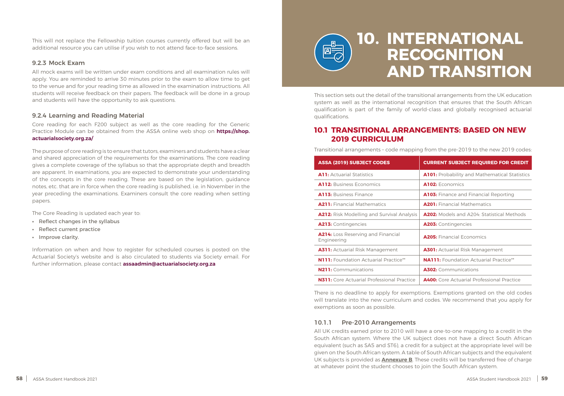<span id="page-29-0"></span>This will not replace the Fellowship tuition courses currently offered but will be an additional resource you can utilise if you wish to not attend face-to-face sessions.

#### 9.2.3 Mock Exam

All mock exams will be written under exam conditions and all examination rules will apply. You are reminded to arrive 30 minutes prior to the exam to allow time to get to the venue and for your reading time as allowed in the examination instructions. All students will receive feedback on their papers. The feedback will be done in a group and students will have the opportunity to ask questions.

#### 9.2.4 Learning and Reading Material

Core reading for each F200 subject as well as the core reading for the Generic Practice Module can be obtained from the ASSA online web shop on **https://shop. actuarialsociety.org.za/**

The purpose of core reading is to ensure that tutors, examiners and students have a clear and shared appreciation of the requirements for the examinations. The core reading gives a complete coverage of the syllabus so that the appropriate depth and breadth are apparent. In examinations, you are expected to demonstrate your understanding of the concepts in the core reading. These are based on the legislation, guidance notes, etc. that are in force when the core reading is published, i.e. in November in the year preceding the examinations. Examiners consult the core reading when setting papers.

The Core Reading is updated each year to:

- **•** Reflect changes in the syllabus
- **•** Reflect current practice
- **•** Improve clarity.

Information on when and how to register for scheduled courses is posted on the Actuarial Society's website and is also circulated to students via Society email. For further information, please contact **assaadmin@actuarialsociety.org.za**



## **10. INTERNATIONAL RECOGNITION AND TRANSITION**

This section sets out the detail of the transitional arrangements from the UK education system as well as the international recognition that ensures that the South African qualification is part of the family of world-class and globally recognised actuarial qualifications.

### **10.1 TRANSITIONAL ARRANGEMENTS: BASED ON NEW 2019 CURRICULUM**

Transitional arrangements – code mapping from the pre-2019 to the new 2019 codes:

There is no deadline to apply for exemptions. Exemptions granted on the old codes will translate into the new curriculum and codes. We recommend that you apply for exemptions as soon as possible.

#### 10.1.1 Pre-2010 Arrangements

All UK credits earned prior to 2010 will have a one-to-one mapping to a credit in the South African system. Where the UK subject does not have a direct South African equivalent (such as SA5 and ST6), a credit for a subject at the appropriate level will be given on the South African system. A table of South African subjects and the equivalent UK subjects is provided as **Annexure B**. These credits will be transferred free of charge at whatever point the student chooses to join the South African system.

#### **ASSA (2019) SUBJECT CODES CURRENT SUBJECT REQUIRED FOR CREDIT**

- **A101:** Probability and Mathematical Statistics
- **A102: Economics**
- **A103:** Finance and Financial Reporting
- **A201:** Financial Mathematics
- A202: Models and A204: Statistical Methods
- **A213:** Contingencies **A203:** Contingencies
- **A205: Financial Economics**
- **A301: Actuarial Risk Management**
- **NA111:** Foundation Actuarial Practice\*\*
- **N211:** Communications **A302:** Communications
- **A400:** Core Actuarial Professional Practice

| <b>ASSA (2019) SUBJECT CODES</b>                  |  |
|---------------------------------------------------|--|
| <b>A11:</b> Actuarial Statistics                  |  |
| <b>A112: Business Economics</b>                   |  |
| <b>A113: Business Finance</b>                     |  |
| <b>A211:</b> Financial Mathematics                |  |
| <b>A212:</b> Risk Modelling and Survival Analysis |  |
| A213: Contingencies                               |  |
| A214: Loss Reserving and Financial<br>Engineering |  |
| <b>A311:</b> Actuarial Risk Management            |  |
| <b>N111:</b> Foundation Actuarial Practice**      |  |
| <b>N211:</b> Communications                       |  |
| <b>N311:</b> Core Actuarial Professional Practice |  |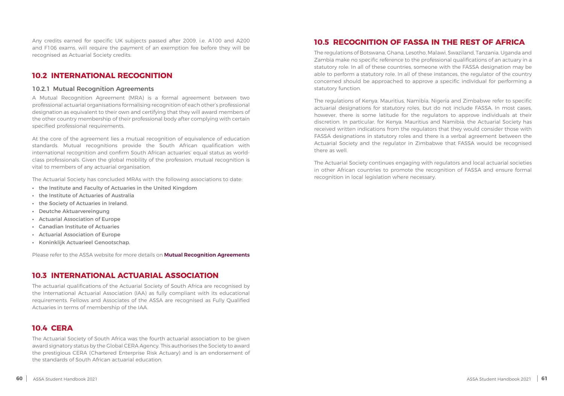<span id="page-30-0"></span>Any credits earned for specific UK subjects passed after 2009, i.e. A100 and A200 and F106 exams, will require the payment of an exemption fee before they will be recognised as Actuarial Society credits.

#### **10.2 INTERNATIONAL RECOGNITION**

#### 10.2.1 Mutual Recognition Agreements

A Mutual Recognition Agreement (MRA) is a formal agreement between two professional actuarial organisations formalising recognition of each other's professional designation as equivalent to their own and certifying that they will award members of the other country membership of their professional body after complying with certain specified professional requirements.

At the core of the agreement lies a mutual recognition of equivalence of education standards. Mutual recognitions provide the South African qualification with international recognition and confirm South African actuaries' equal status as worldclass professionals. Given the global mobility of the profession, mutual recognition is vital to members of any actuarial organisation.

The Actuarial Society has concluded MRAs with the following associations to date:

- **•** the Institute and Faculty of Actuaries in the United Kingdom
- **•** the Institute of Actuaries of Australia
- **•** the Society of Actuaries in Ireland.
- **•** Deutche Aktuarvereingung
- **•** Actuarial Association of Europe
- **•** Canadian Institute of Actuaries
- **•** Actuarial Association of Europe
- **•** Koninklijk Actuarieel Genootschap.

Please refer to the ASSA website for more details on **[Mutual Recognition Agreements](mailto:https://www.actuarialsociety.org.za/becoming-an-actuary/membership-admissions/mutual-recognition-agreements-mra/?subject=)** 

#### **10.3 INTERNATIONAL ACTUARIAL ASSOCIATION**

The actuarial qualifications of the Actuarial Society of South Africa are recognised by the International Actuarial Association (IAA) as fully compliant with its educational requirements. Fellows and Associates of the ASSA are recognised as Fully Qualified Actuaries in terms of membership of the IAA.

#### **10.4 CERA**

The Actuarial Society of South Africa was the fourth actuarial association to be given award signatory status by the Global CERA Agency. This authorises the Society to award the prestigious CERA (Chartered Enterprise Risk Actuary) and is an endorsement of the standards of South African actuarial education.

## **10.5 RECOGNITION OF FASSA IN THE REST OF AFRICA**

The regulations of Botswana, Ghana, Lesotho, Malawi, Swaziland, Tanzania, Uganda and Zambia make no specific reference to the professional qualifications of an actuary in a statutory role. In all of these countries, someone with the FASSA designation may be able to perform a statutory role. In all of these instances, the regulator of the country concerned should be approached to approve a specific individual for performing a statutory function.

The regulations of Kenya, Mauritius, Namibia, Nigeria and Zimbabwe refer to specific actuarial designations for statutory roles, but do not include FASSA. In most cases, however, there is some latitude for the regulators to approve individuals at their discretion. In particular, for Kenya, Mauritius and Namibia, the Actuarial Society has received written indications from the regulators that they would consider those with FASSA designations in statutory roles and there is a verbal agreement between the Actuarial Society and the regulator in Zimbabwe that FASSA would be recognised there as well.

The Actuarial Society continues engaging with regulators and local actuarial societies in other African countries to promote the recognition of FASSA and ensure formal recognition in local legislation where necessary.